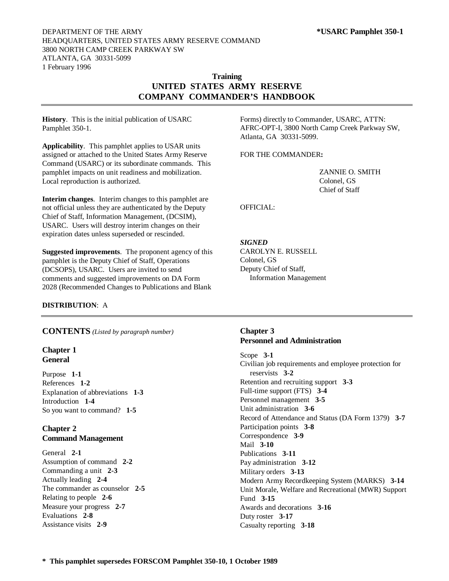### DEPARTMENT OF THE ARMY **\*USARC Pamphlet 350-1** HEADQUARTERS, UNITED STATES ARMY RESERVE COMMAND 3800 NORTH CAMP CREEK PARKWAY SW ATLANTA, GA 30331-5099 1 February 1996

# **Training UNITED STATES ARMY RESERVE COMPANY COMMANDER'S HANDBOOK**

**History**. This is the initial publication of USARC Pamphlet 350-1.

**Applicability**. This pamphlet applies to USAR units assigned or attached to the United States Army Reserve Command (USARC) or its subordinate commands. This pamphlet impacts on unit readiness and mobilization. Local reproduction is authorized.

**Interim changes**. Interim changes to this pamphlet are not official unless they are authenticated by the Deputy Chief of Staff, Information Management, (DCSIM), USARC. Users will destroy interim changes on their expiration dates unless superseded or rescinded.

**Suggested improvements**. The proponent agency of this pamphlet is the Deputy Chief of Staff, Operations (DCSOPS), USARC. Users are invited to send comments and suggested improvements on DA Form 2028 (Recommended Changes to Publications and Blank

**DISTRIBUTION**: A

**CONTENTS** *(Listed by paragraph number)*

# **Chapter 1 General**

Purpose **1-1** References **1-2** Explanation of abbreviations **1-3** Introduction **1-4** So you want to command? **1-5**

# **Chapter 2 Command Management**

General **2-1** Assumption of command **2-2** Commanding a unit **2-3** Actually leading **2-4** The commander as counselor **2-5** Relating to people **2-6** Measure your progress **2-7** Evaluations **2-8** Assistance visits **2-9**

Forms) directly to Commander, USARC, ATTN: AFRC-OPT-I, 3800 North Camp Creek Parkway SW, Atlanta, GA 30331-5099.

FOR THE COMMANDER**:**

ZANNIE O. SMITH Colonel, GS Chief of Staff

OFFICIAL:

# *SIGNED*

CAROLYN E. RUSSELL Colonel, GS Deputy Chief of Staff, Information Management

# **Chapter 3 Personnel and Administration**

Scope **3-1** Civilian job requirements and employee protection for reservists **3-2** Retention and recruiting support **3-3** Full-time support (FTS) **3-4** Personnel management **3-5** Unit administration **3-6** Record of Attendance and Status (DA Form 1379) **3-7** Participation points **3-8** Correspondence **3-9** Mail **3-10** Publications **3-11** Pay administration **3-12** Military orders **3-13** Modern Army Recordkeeping System (MARKS) **3-14** Unit Morale, Welfare and Recreational (MWR) Support Fund **3-15** Awards and decorations **3-16** Duty roster **3-17** Casualty reporting **3-18**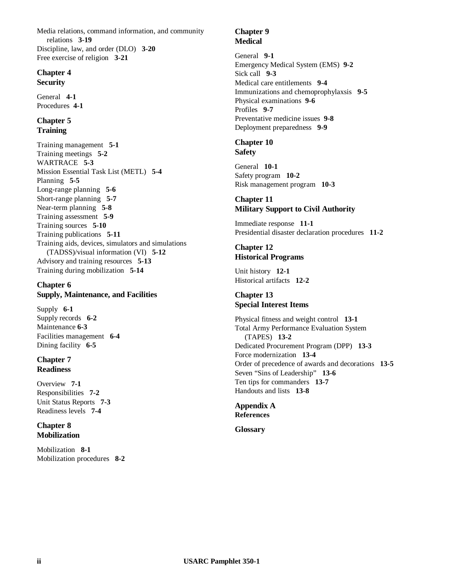Media relations, command information, and community relations **3-19** Discipline, law, and order (DLO) **3-20** Free exercise of religion **3-21**

### **Chapter 4 Security**

General **4-1** Procedures **4-1**

# **Chapter 5 Training**

Training management **5-1** Training meetings **5-2** WARTRACE **5-3** Mission Essential Task List (METL) **5-4** Planning **5-5** Long-range planning **5-6** Short-range planning **5-7** Near-term planning **5-8** Training assessment **5-9** Training sources **5-10** Training publications **5-11** Training aids, devices, simulators and simulations (TADSS)/visual information (VI) **5-12** Advisory and training resources **5-13** Training during mobilization **5-14**

# **Chapter 6 Supply, Maintenance, and Facilities**

Supply **6-1** Supply records **6-2** Maintenance **6-3** Facilities management **6-4** Dining facility **6-5**

# **Chapter 7 Readiness**

Overview **7-1** Responsibilities **7-2** Unit Status Reports **7-3** Readiness levels **7-4**

# **Chapter 8 Mobilization**

Mobilization **8-1** Mobilization procedures **8-2**

# **Chapter 9 Medical**

General **9-1** Emergency Medical System (EMS) **9-2** Sick call **9-3** Medical care entitlements **9-4** Immunizations and chemoprophylaxsis **9-5** Physical examinations **9-6** Profiles **9-7** Preventative medicine issues **9-8** Deployment preparedness **9-9**

### **Chapter 10 Safety**

General **10-1** Safety program **10-2** Risk management program **10-3**

# **Chapter 11 Military Support to Civil Authority**

Immediate response **11-1** Presidential disaster declaration procedures **11-2**

# **Chapter 12 Historical Programs**

Unit history **12-1** Historical artifacts **12-2**

# **Chapter 13 Special Interest Items**

Physical fitness and weight control **13-1** Total Army Performance Evaluation System (TAPES) **13-2** Dedicated Procurement Program (DPP) **13-3** Force modernization **13-4** Order of precedence of awards and decorations **13-5** Seven "Sins of Leadership" **13-6** Ten tips for commanders **13-7** Handouts and lists **13-8**

# **Appendix A References**

**Glossary**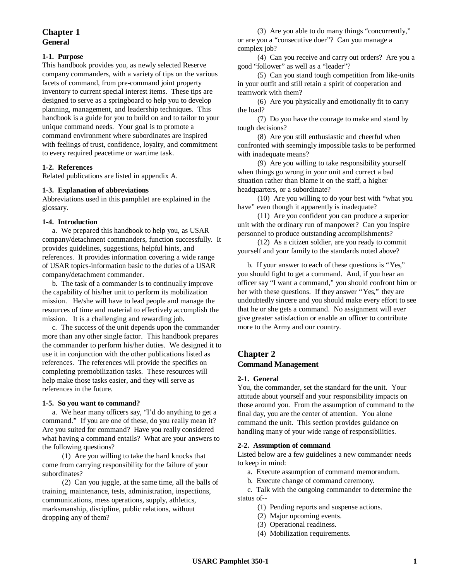# **Chapter 1 General**

# **1-1. Purpose**

This handbook provides you, as newly selected Reserve company commanders, with a variety of tips on the various facets of command, from pre-command joint property inventory to current special interest items. These tips are designed to serve as a springboard to help you to develop planning, management, and leadership techniques. This handbook is a guide for you to build on and to tailor to your unique command needs. Your goal is to promote a command environment where subordinates are inspired with feelings of trust, confidence, loyalty, and commitment to every required peacetime or wartime task.

### **1-2. References**

Related publications are listed in appendix A.

### **1-3. Explanation of abbreviations**

Abbreviations used in this pamphlet are explained in the glossary.

#### **1-4. Introduction**

a. We prepared this handbook to help you, as USAR company/detachment commanders, function successfully. It provides guidelines, suggestions, helpful hints, and references. It provides information covering a wide range of USAR topics-information basic to the duties of a USAR company/detachment commander.

b. The task of a commander is to continually improve the capability of his/her unit to perform its mobilization mission. He/she will have to lead people and manage the resources of time and material to effectively accomplish the mission. It is a challenging and rewarding job.

c. The success of the unit depends upon the commander more than any other single factor. This handbook prepares the commander to perform his/her duties. We designed it to use it in conjunction with the other publications listed as references. The references will provide the specifics on completing premobilization tasks. These resources will help make those tasks easier, and they will serve as references in the future.

## **1-5. So you want to command?**

a. We hear many officers say, "I'd do anything to get a command." If you are one of these, do you really mean it? Are you suited for command? Have you really considered what having a command entails? What are your answers to the following questions?

(1) Are you willing to take the hard knocks that come from carrying responsibility for the failure of your subordinates?

(2) Can you juggle, at the same time, all the balls of training, maintenance, tests, administration, inspections, communications, mess operations, supply, athletics, marksmanship, discipline, public relations, without dropping any of them?

(3) Are you able to do many things "concurrently," or are you a "consecutive doer"? Can you manage a complex job?

(4) Can you receive and carry out orders? Are you a good "follower" as well as a "leader"?

(5) Can you stand tough competition from like-units in your outfit and still retain a spirit of cooperation and teamwork with them?

(6) Are you physically and emotionally fit to carry the load?

(7) Do you have the courage to make and stand by tough decisions?

(8) Are you still enthusiastic and cheerful when confronted with seemingly impossible tasks to be performed with inadequate means?

(9) Are you willing to take responsibility yourself when things go wrong in your unit and correct a bad situation rather than blame it on the staff, a higher headquarters, or a subordinate?

(10) Are you willing to do your best with "what you have" even though it apparently is inadequate?

(11) Are you confident you can produce a superior unit with the ordinary run of manpower? Can you inspire personnel to produce outstanding accomplishments?

(12) As a citizen soldier, are you ready to commit yourself and your family to the standards noted above?

b. If your answer to each of these questions is "Yes," you should fight to get a command. And, if you hear an officer say "I want a command," you should confront him or her with these questions. If they answer "Yes," they are undoubtedly sincere and you should make every effort to see that he or she gets a command. No assignment will ever give greater satisfaction or enable an officer to contribute more to the Army and our country.

# **Chapter 2 Command Management**

#### **2-1. General**

You, the commander, set the standard for the unit. Your attitude about yourself and your responsibility impacts on those around you. From the assumption of command to the final day, you are the center of attention. You alone command the unit. This section provides guidance on handling many of your wide range of responsibilities.

### **2-2. Assumption of command**

Listed below are a few guidelines a new commander needs to keep in mind:

- a. Execute assumption of command memorandum.
- b. Execute change of command ceremony.

c. Talk with the outgoing commander to determine the status of--

- (1) Pending reports and suspense actions.
- (2) Major upcoming events.
- (3) Operational readiness.
- (4) Mobilization requirements.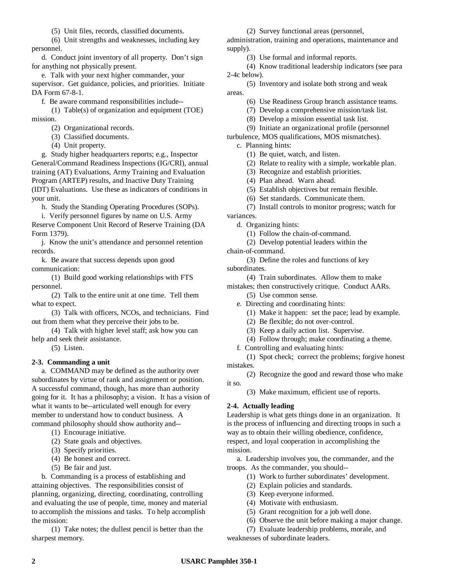(5) Unit files, records, classified documents.

(6) Unit strengths and weaknesses, including key personnel.

d. Conduct joint inventory of all property. Don't sign for anything not physically present.

e. Talk with your next higher commander, your supervisor. Get guidance, policies, and priorities. Initiate DA Form 67-8-1.

f. Be aware command responsibilities include--

(1) Table(s) of organization and equipment (TOE) mission.

(2) Organizational records.

(3) Classified documents.

(4) Unit property.

g. Study higher headquarters reports; e.g., Inspector General/Command Readiness Inspections (IG/CRI), annual training (AT) Evaluations, Army Training and Evaluation Program (ARTEP) results, and Inactive Duty Training (IDT) Evaluations. Use these as indicators of conditions in your unit.

h. Study the Standing Operating Procedures (SOPs).

i. Verify personnel figures by name on U.S. Army Reserve Component Unit Record of Reserve Training (DA Form 1379).

j. Know the unit's attendance and personnel retention records.

k. Be aware that success depends upon good communication:

(1) Build good working relationships with FTS personnel.

(2) Talk to the entire unit at one time. Tell them what to expect.

(3) Talk with officers, NCOs, and technicians. Find out from them what they perceive their jobs to be.

(4) Talk with higher level staff; ask how you can help and seek their assistance.

(5) Listen.

### **2-3. Commanding a unit**

a. COMMAND may be defined as the authority over subordinates by virtue of rank and assignment or position. A successful command, though, has more than authority going for it. It has a philosophy; a vision. It has a vision of what it wants to be--articulated well enough for every member to understand how to conduct business. A command philosophy should show authority and--

(1) Encourage initiative.

(2) State goals and objectives.

(3) Specify priorities.

(4) Be honest and correct.

(5) Be fair and just.

b. Commanding is a process of establishing and attaining objectives. The responsibilities consist of planning, organizing, directing, coordinating, controlling and evaluating the use of people, time, money and material to accomplish the missions and tasks. To help accomplish the mission:

(1) Take notes; the dullest pencil is better than the sharpest memory.

(2) Survey functional areas (personnel,

administration, training and operations, maintenance and supply).

(3) Use formal and informal reports.

(4) Know traditional leadership indicators (see para 2-4c below).

(5) Inventory and isolate both strong and weak areas.

(6) Use Readiness Group branch assistance teams.

(7) Develop a comprehensive mission/task list.

(8) Develop a mission essential task list.

(9) Initiate an organizational profile (personnel

turbulence, MOS qualifications, MOS mismatches).

c. Planning hints:

(1) Be quiet, watch, and listen.

(2) Relate to reality with a simple, workable plan.

(3) Recognize and establish priorities.

(4) Plan ahead. Warn ahead.

(5) Establish objectives but remain flexible.

(6) Set standards. Communicate them.

(7) Install controls to monitor progress; watch for variances.

d. Organizing hints:

(1) Follow the chain-of-command.

(2) Develop potential leaders within the

chain-of-command.

(3) Define the roles and functions of key subordinates.

(4) Train subordinates. Allow them to make

mistakes; then constructively critique. Conduct AARs.

(5) Use common sense.

e. Directing and coordinating hints:

(1) Make it happen: set the pace; lead by example.

(2) Be flexible; do not over-control.

(3) Keep a daily action list. Supervise.

(4) Follow through; make coordinating a theme.

f. Controlling and evaluating hints:

(1) Spot check; correct the problems; forgive honest mistakes.

(2) Recognize the good and reward those who make it so.

(3) Make maximum, efficient use of reports.

### **2-4. Actually leading**

Leadership is what gets things done in an organization. It is the process of influencing and directing troops in such a way as to obtain their willing obedience, confidence, respect, and loyal cooperation in accomplishing the mission.

a. Leadership involves you, the commander, and the troops. As the commander, you should--

- (1) Work to further subordinates' development.
- (2) Explain policies and standards.
- (3) Keep everyone informed.
- (4) Motivate with enthusiasm.
- (5) Grant recognition for a job well done.
- (6) Observe the unit before making a major change.

(7) Evaluate leadership problems, morale, and

weaknesses of subordinate leaders.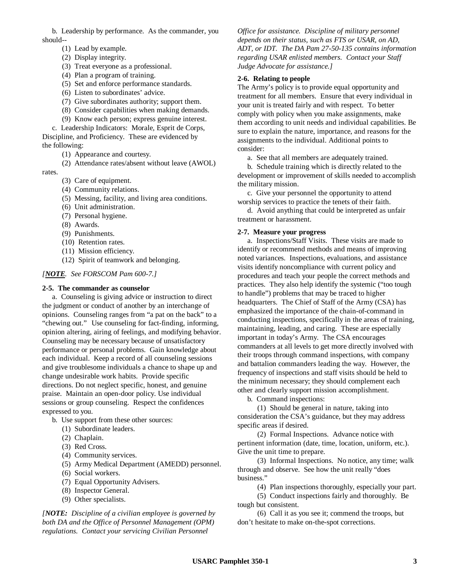b. Leadership by performance. As the commander, you should--

- (1) Lead by example.
- (2) Display integrity.
- (3) Treat everyone as a professional.
- (4) Plan a program of training.
- (5) Set and enforce performance standards.
- (6) Listen to subordinates' advice.
- (7) Give subordinates authority; support them.
- (8) Consider capabilities when making demands.
- (9) Know each person; express genuine interest.

c. Leadership Indicators: Morale, Esprit de Corps, Discipline, and Proficiency. These are evidenced by the following:

(1) Appearance and courtesy.

(2) Attendance rates/absent without leave (AWOL)

rates.

- (3) Care of equipment.
- (4) Community relations.
- (5) Messing, facility, and living area conditions.
- (6) Unit administration.
- (7) Personal hygiene.
- (8) Awards.
- (9) Punishments.
- (10) Retention rates.
- (11) Mission efficiency.
- (12) Spirit of teamwork and belonging.

## *[NOTE. See FORSCOM Pam 600-7.]*

#### **2-5. The commander as counselor**

a. Counseling is giving advice or instruction to direct the judgment or conduct of another by an interchange of opinions. Counseling ranges from "a pat on the back" to a "chewing out." Use counseling for fact-finding, informing, opinion altering, airing of feelings, and modifying behavior. Counseling may be necessary because of unsatisfactory performance or personal problems. Gain knowledge about each individual. Keep a record of all counseling sessions and give troublesome individuals a chance to shape up and change undesirable work habits. Provide specific directions. Do not neglect specific, honest, and genuine praise. Maintain an open-door policy. Use individual sessions or group counseling. Respect the confidences expressed to you.

- b. Use support from these other sources:
	- (1) Subordinate leaders.
	- (2) Chaplain.
	- (3) Red Cross.
	- (4) Community services.
	- (5) Army Medical Department (AMEDD) personnel.
	- (6) Social workers.
	- (7) Equal Opportunity Advisers.
	- (8) Inspector General.
	- (9) Other specialists.

*[NOTE: Discipline of a civilian employee is governed by both DA and the Office of Personnel Management (OPM) regulations. Contact your servicing Civilian Personnel*

*Office for assistance. Discipline of military personnel depends on their status, such as FTS or USAR, on AD, ADT, or IDT. The DA Pam 27-50-135 contains information regarding USAR enlisted members. Contact your Staff Judge Advocate for assistance.]*

#### **2-6. Relating to people**

The Army's policy is to provide equal opportunity and treatment for all members. Ensure that every individual in your unit is treated fairly and with respect. To better comply with policy when you make assignments, make them according to unit needs and individual capabilities. Be sure to explain the nature, importance, and reasons for the assignments to the individual. Additional points to consider:

a. See that all members are adequately trained.

b. Schedule training which is directly related to the development or improvement of skills needed to accomplish the military mission.

c. Give your personnel the opportunity to attend worship services to practice the tenets of their faith.

d. Avoid anything that could be interpreted as unfair treatment or harassment.

#### **2-7. Measure your progress**

a. Inspections/Staff Visits. These visits are made to identify or recommend methods and means of improving noted variances. Inspections, evaluations, and assistance visits identify noncompliance with current policy and procedures and teach your people the correct methods and practices. They also help identify the systemic ("too tough to handle") problems that may be traced to higher headquarters. The Chief of Staff of the Army (CSA) has emphasized the importance of the chain-of-command in conducting inspections, specifically in the areas of training, maintaining, leading, and caring. These are especially important in today's Army. The CSA encourages commanders at all levels to get more directly involved with their troops through command inspections, with company and battalion commanders leading the way. However, the frequency of inspections and staff visits should be held to the minimum necessary; they should complement each other and clearly support mission accomplishment.

b. Command inspections:

(1) Should be general in nature, taking into consideration the CSA's guidance, but they may address specific areas if desired.

(2) Formal Inspections. Advance notice with pertinent information (date, time, location, uniform, etc.). Give the unit time to prepare.

(3) Informal Inspections. No notice, any time; walk through and observe. See how the unit really "does business."

(4) Plan inspections thoroughly, especially your part.

(5) Conduct inspections fairly and thoroughly. Be tough but consistent.

(6) Call it as you see it; commend the troops, but don't hesitate to make on-the-spot corrections.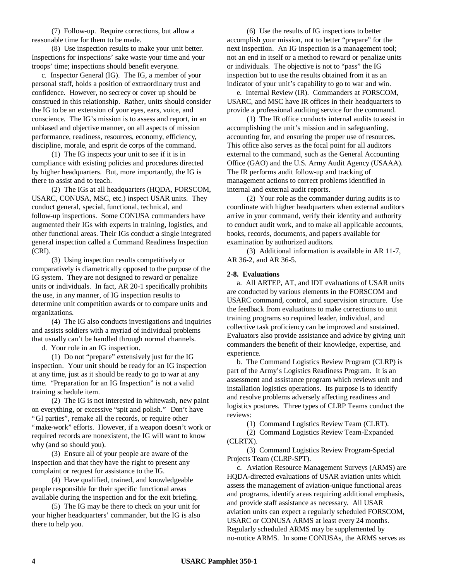(7) Follow-up. Require corrections, but allow a reasonable time for them to be made.

(8) Use inspection results to make your unit better. Inspections for inspections' sake waste your time and your troops' time; inspections should benefit everyone.

c. Inspector General (IG). The IG, a member of your personal staff, holds a position of extraordinary trust and confidence. However, no secrecy or cover up should be construed in this relationship. Rather, units should consider the IG to be an extension of your eyes, ears, voice, and conscience. The IG's mission is to assess and report, in an unbiased and objective manner, on all aspects of mission performance, readiness, resources, economy, efficiency, discipline, morale, and esprit de corps of the command.

(1) The IG inspects your unit to see if it is in compliance with existing policies and procedures directed by higher headquarters. But, more importantly, the IG is there to assist and to teach.

(2) The IGs at all headquarters (HQDA, FORSCOM, USARC, CONUSA, MSC, etc.) inspect USAR units. They conduct general, special, functional, technical, and follow-up inspections. Some CONUSA commanders have augmented their IGs with experts in training, logistics, and other functional areas. Their IGs conduct a single integrated general inspection called a Command Readiness Inspection (CRI).

(3) Using inspection results competitively or comparatively is diametrically opposed to the purpose of the IG system. They are not designed to reward or penalize units or individuals. In fact, AR 20-1 specifically prohibits the use, in any manner, of IG inspection results to determine unit competition awards or to compare units and organizations.

(4) The IG also conducts investigations and inquiries and assists soldiers with a myriad of individual problems that usually can't be handled through normal channels.

d. Your role in an IG inspection.

(1) Do not "prepare" extensively just for the IG inspection. Your unit should be ready for an IG inspection at any time, just as it should be ready to go to war at any time. "Preparation for an IG Inspection" is not a valid training schedule item.

(2) The IG is not interested in whitewash, new paint on everything, or excessive "spit and polish." Don't have "GI parties", remake all the records, or require other "make-work" efforts. However, if a weapon doesn't work or required records are nonexistent, the IG will want to know why (and so should you).

(3) Ensure all of your people are aware of the inspection and that they have the right to present any complaint or request for assistance to the IG.

(4) Have qualified, trained, and knowledgeable people responsible for their specific functional areas available during the inspection and for the exit briefing.

(5) The IG may be there to check on your unit for your higher headquarters' commander, but the IG is also there to help you.

(6) Use the results of IG inspections to better accomplish your mission, not to better "prepare" for the next inspection. An IG inspection is a management tool; not an end in itself or a method to reward or penalize units or individuals. The objective is not to "pass" the IG inspection but to use the results obtained from it as an indicator of your unit's capability to go to war and win.

e. Internal Review (IR). Commanders at FORSCOM, USARC, and MSC have IR offices in their headquarters to provide a professional auditing service for the command.

(1) The IR office conducts internal audits to assist in accomplishing the unit's mission and in safeguarding, accounting for, and ensuring the proper use of resources. This office also serves as the focal point for all auditors external to the command, such as the General Accounting Office (GAO) and the U.S. Army Audit Agency (USAAA). The IR performs audit follow-up and tracking of management actions to correct problems identified in internal and external audit reports.

(2) Your role as the commander during audits is to coordinate with higher headquarters when external auditors arrive in your command, verify their identity and authority to conduct audit work, and to make all applicable accounts, books, records, documents, and papers available for examination by authorized auditors.

(3) Additional information is available in AR 11-7, AR 36-2, and AR 36-5.

#### **2-8. Evaluations**

a. All ARTEP, AT, and IDT evaluations of USAR units are conducted by various elements in the FORSCOM and USARC command, control, and supervision structure. Use the feedback from evaluations to make corrections to unit training programs so required leader, individual, and collective task proficiency can be improved and sustained. Evaluators also provide assistance and advice by giving unit commanders the benefit of their knowledge, expertise, and experience.

b. The Command Logistics Review Program (CLRP) is part of the Army's Logistics Readiness Program. It is an assessment and assistance program which reviews unit and installation logistics operations. Its purpose is to identify and resolve problems adversely affecting readiness and logistics postures. Three types of CLRP Teams conduct the reviews:

(1) Command Logistics Review Team (CLRT).

(2) Command Logistics Review Team-Expanded (CLRTX).

(3) Command Logistics Review Program-Special Projects Team (CLRP-SPT).

c. Aviation Resource Management Surveys (ARMS) are HQDA-directed evaluations of USAR aviation units which assess the management of aviation-unique functional areas and programs, identify areas requiring additional emphasis, and provide staff assistance as necessary. All USAR aviation units can expect a regularly scheduled FORSCOM, USARC or CONUSA ARMS at least every 24 months. Regularly scheduled ARMS may be supplemented by no-notice ARMS. In some CONUSAs, the ARMS serves as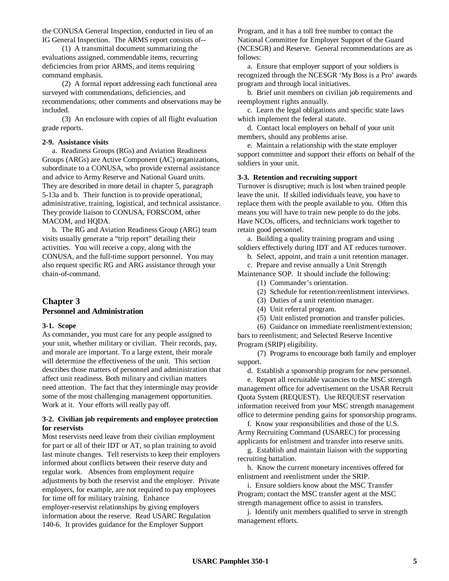the CONUSA General Inspection, conducted in lieu of an IG General Inspection. The ARMS report consists of--

(1) A transmittal document summarizing the evaluations assigned, commendable items, recurring deficiencies from prior ARMS, and items requiring command emphasis.

(2) A formal report addressing each functional area surveyed with commendations, deficiencies, and recommendations; other comments and observations may be included.

(3) An enclosure with copies of all flight evaluation grade reports.

#### **2-9. Assistance visits**

a. Readiness Groups (RGs) and Aviation Readiness Groups (ARGs) are Active Component (AC) organizations, subordinate to a CONUSA, who provide external assistance and advice to Army Reserve and National Guard units. They are described in more detail in chapter 5, paragraph 5-13a and b. Their function is to provide operational, administrative, training, logistical, and technical assistance. They provide liaison to CONUSA, FORSCOM, other MACOM, and HQDA.

b. The RG and Aviation Readiness Group (ARG) team visits usually generate a "trip report" detailing their activities. You will receive a copy, along with the CONUSA, and the full-time support personnel. You may also request specific RG and ARG assistance through your chain-of-command.

# **Chapter 3**

# **Personnel and Administration**

#### **3-1. Scope**

As commander, you must care for any people assigned to your unit, whether military or civilian. Their records, pay, and morale are important. To a large extent, their morale will determine the effectiveness of the unit. This section describes those matters of personnel and administration that affect unit readiness. Both military and civilian matters need attention. The fact that they intermingle may provide some of the most challenging management opportunities. Work at it. Your efforts will really pay off.

### **3-2. Civilian job requirements and employee protection for reservists**

Most reservists need leave from their civilian employment for part or all of their IDT or AT, so plan training to avoid last minute changes. Tell reservists to keep their employers informed about conflicts between their reserve duty and regular work. Absences from employment require adjustments by both the reservist and the employer. Private employers, for example, are not required to pay employees for time off for military training. Enhance employer-reservist relationships by giving employers information about the reserve. Read USARC Regulation 140-6. It provides guidance for the Employer Support

Program, and it has a toll free number to contact the National Committee for Employer Support of the Guard (NCESGR) and Reserve. General recommendations are as follows:

a. Ensure that employer support of your soldiers is recognized through the NCESGR 'My Boss is a Pro' awards program and through local initiatives.

b. Brief unit members on civilian job requirements and reemployment rights annually.

c. Learn the legal obligations and specific state laws which implement the federal statute.

d. Contact local employers on behalf of your unit members, should any problems arise.

e. Maintain a relationship with the state employer support committee and support their efforts on behalf of the soldiers in your unit.

#### **3-3. Retention and recruiting support**

Turnover is disruptive; much is lost when trained people leave the unit. If skilled individuals leave, you have to replace them with the people available to you. Often this means you will have to train new people to do the jobs. Have NCOs, officers, and technicians work together to retain good personnel.

a. Building a quality training program and using soldiers effectively during IDT and AT reduces turnover.

b. Select, appoint, and train a unit retention manager.

c. Prepare and revise annually a Unit Strength

Maintenance SOP. It should include the following:

- (1) Commander's orientation.
- (2) Schedule for retention/reenlistment interviews.
- (3) Duties of a unit retention manager.
- (4) Unit referral program.
- (5) Unit enlisted promotion and transfer policies.

(6) Guidance on immediate reenlistment/extension; bars to reenlistment; and Selected Reserve Incentive Program (SRIP) eligibility.

(7) Programs to encourage both family and employer support.

d. Establish a sponsorship program for new personnel.

e. Report all recruitable vacancies to the MSC strength management office for advertisement on the USAR Recruit Quota System (REQUEST). Use REQUEST reservation information received from your MSC strength management office to determine pending gains for sponsorship programs.

f. Know your responsibilities and those of the U.S. Army Recruiting Command (USAREC) for processing applicants for enlistment and transfer into reserve units.

g. Establish and maintain liaison with the supporting recruiting battalion.

h. Know the current monetary incentives offered for enlistment and reenlistment under the SRIP.

i. Ensure soldiers know about the MSC Transfer Program; contact the MSC transfer agent at the MSC strength management office to assist in transfers.

j. Identify unit members qualified to serve in strength management efforts.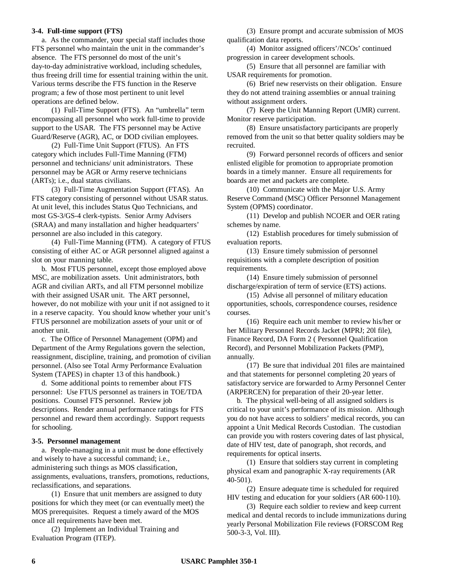#### **3-4. Full-time support (FTS)**

a. As the commander, your special staff includes those FTS personnel who maintain the unit in the commander's absence. The FTS personnel do most of the unit's day-to-day administrative workload, including schedules, thus freeing drill time for essential training within the unit. Various terms describe the FTS function in the Reserve program; a few of those most pertinent to unit level operations are defined below.

(1) Full-Time Support (FTS). An "umbrella" term encompassing all personnel who work full-time to provide support to the USAR. The FTS personnel may be Active Guard/Reserve (AGR), AC, or DOD civilian employees.

(2) Full-Time Unit Support (FTUS). An FTS category which includes Full-Time Manning (FTM) personnel and technicians/ unit administrators. These personnel may be AGR or Army reserve technicians (ARTs); i.e., dual status civilians.

(3) Full-Time Augmentation Support (FTAS). An FTS category consisting of personnel without USAR status. At unit level, this includes Status Quo Technicians, and most GS-3/GS-4 clerk-typists. Senior Army Advisers (SRAA) and many installation and higher headquarters' personnel are also included in this category.

(4) Full-Time Manning (FTM). A category of FTUS consisting of either AC or AGR personnel aligned against a slot on your manning table.

b. Most FTUS personnel, except those employed above MSC, are mobilization assets. Unit administrators, both AGR and civilian ARTs, and all FTM personnel mobilize with their assigned USAR unit. The ART personnel, however, do not mobilize with your unit if not assigned to it in a reserve capacity. You should know whether your unit's FTUS personnel are mobilization assets of your unit or of another unit.

c. The Office of Personnel Management (OPM) and Department of the Army Regulations govern the selection, reassignment, discipline, training, and promotion of civilian personnel. (Also see Total Army Performance Evaluation System (TAPES) in chapter 13 of this handbook.)

d. Some additional points to remember about FTS personnel: Use FTUS personnel as trainers in TOE/TDA positions. Counsel FTS personnel. Review job descriptions. Render annual performance ratings for FTS personnel and reward them accordingly. Support requests for schooling.

#### **3-5. Personnel management**

a. People-managing in a unit must be done effectively and wisely to have a successful command; i.e., administering such things as MOS classification, assignments, evaluations, transfers, promotions, reductions, reclassifications, and separations.

(1) Ensure that unit members are assigned to duty positions for which they meet (or can eventually meet) the MOS prerequisites. Request a timely award of the MOS once all requirements have been met.

(2) Implement an Individual Training and Evaluation Program (ITEP).

(3) Ensure prompt and accurate submission of MOS qualification data reports.

(4) Monitor assigned officers'/NCOs' continued progression in career development schools.

(5) Ensure that all personnel are familiar with USAR requirements for promotion.

(6) Brief new reservists on their obligation. Ensure they do not attend training assemblies or annual training without assignment orders.

(7) Keep the Unit Manning Report (UMR) current. Monitor reserve participation.

(8) Ensure unsatisfactory participants are properly removed from the unit so that better quality soldiers may be recruited.

(9) Forward personnel records of officers and senior enlisted eligible for promotion to appropriate promotion boards in a timely manner. Ensure all requirements for boards are met and packets are complete.

(10) Communicate with the Major U.S. Army Reserve Command (MSC) Officer Personnel Management System (OPMS) coordinator.

(11) Develop and publish NCOER and OER rating schemes by name.

(12) Establish procedures for timely submission of evaluation reports.

(13) Ensure timely submission of personnel requisitions with a complete description of position requirements.

(14) Ensure timely submission of personnel discharge/expiration of term of service (ETS) actions.

(15) Advise all personnel of military education opportunities, schools, correspondence courses, residence courses.

(16) Require each unit member to review his/her or her Military Personnel Records Jacket (MPRJ; 20l file), Finance Record, DA Form 2 ( Personnel Qualification Record), and Personnel Mobilization Packets (PMP), annually.

(17) Be sure that individual 201 files are maintained and that statements for personnel completing 20 years of satisfactory service are forwarded to Army Personnel Center (ARPERCEN) for preparation of their 20-year letter.

b. The physical well-being of all assigned soldiers is critical to your unit's performance of its mission. Although you do not have access to soldiers' medical records, you can appoint a Unit Medical Records Custodian. The custodian can provide you with rosters covering dates of last physical, date of HIV test, date of panograph, shot records, and requirements for optical inserts.

(1) Ensure that soldiers stay current in completing physical exam and panographic X-ray requirements (AR 40-501).

(2) Ensure adequate time is scheduled for required HIV testing and education for your soldiers (AR 600-110).

(3) Require each soldier to review and keep current medical and dental records to include immunizations during yearly Personal Mobilization File reviews (FORSCOM Reg 500-3-3, Vol. III).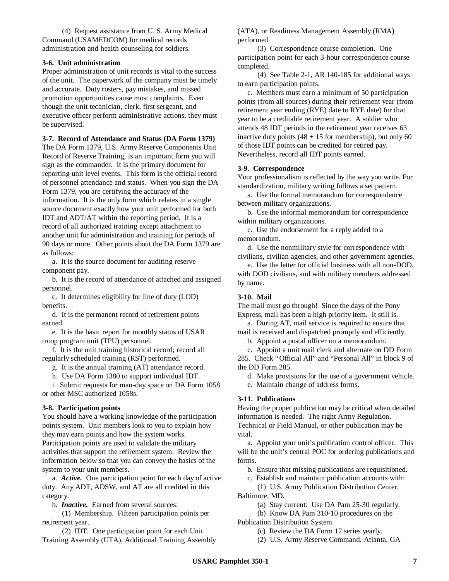(4) Request assistance from U. S. Army Medical Command (USAMEDCOM) for medical records administration and health counseling for soldiers.

#### **3-6. Unit administration**

Proper administration of unit records is vital to the success of the unit. The paperwork of the company must be timely and accurate. Duty rosters, pay mistakes, and missed promotion opportunities cause most complaints. Even though the unit technician, clerk, first sergeant, and executive officer perform administrative actions, they must be supervised.

#### **3-7. Record of Attendance and Status (DA Form 1379)**

The DA Form 1379, U.S. Army Reserve Components Unit Record of Reserve Training, is an important form you will sign as the commander. It is the primary document for reporting unit level events. This form is the official record of personnel attendance and status. When you sign the DA Form 1379, you are certifying the accuracy of the information. It is the only form which relates in a single source document exactly how your unit performed for both IDT and ADT/AT within the reporting period. It is a record of all authorized training except attachment to another unit for administration and training for periods of 90 days or more. Other points about the DA Form 1379 are as follows:

a. It is the source document for auditing reserve component pay.

b. It is the record of attendance of attached and assigned personnel.

c. It determines eligibility for line of duty (LOD) benefits.

d. It is the permanent record of retirement points earned.

e. It is the basic report for monthly status of USAR troop program unit (TPU) personnel.

f. It is the unit training historical record; record all regularly scheduled training (RST) performed.

g. It is the annual training (AT) attendance record.

h. Use DA Form 1380 to support individual IDT.

i. Submit requests for man-day space on DA Form 1058 or other MSC authorized 1058s.

### **3-8. Participation points**

You should have a working knowledge of the participation points system. Unit members look to you to explain how they may earn points and how the system works. Participation points are used to validate the military activities that support the retirement system. Review the information below so that you can convey the basics of the system to your unit members.

a. *Active.* One participation point for each day of active duty. Any ADT, ADSW, and AT are all credited in this category.

b. *Inactive.* Earned from several sources:

(1) Membership. Fifteen participation points per retirement year.

(2) IDT. One participation point for each Unit Training Assembly (UTA), Additional Training Assembly (ATA), or Readiness Management Assembly (RMA) performed.

(3) Correspondence course completion. One participation point for each 3-hour correspondence course completed.

(4) See Table 2-1, AR 140-185 for additional ways to earn participation points.

c. Members must earn a minimum of 50 participation points (from all sources) during their retirement year (from retirement year ending (RYE) date to RYE date) for that year to be a creditable retirement year. A soldier who attends 48 IDT periods in the retirement year receives 63 inactive duty points  $(48 + 15$  for membership), but only 60 of those IDT points can be credited for retired pay. Nevertheless, record all IDT points earned.

#### **3-9. Correspondence**

Your professionalism is reflected by the way you write. For standardization, military writing follows a set pattern.

a. Use the formal memorandum for correspondence between military organizations.

b. Use the informal memorandum for correspondence within military organizations.

c. Use the endorsement for a reply added to a memorandum.

d. Use the nonmilitary style for correspondence with civilians, civilian agencies, and other government agencies.

e. Use the letter for official business with all non-DOD, with DOD civilians, and with military members addressed by name.

### **3-10. Mail**

The mail must go through! Since the days of the Pony Express, mail has been a high priority item. It still is.

a. During AT, mail service is required to ensure that mail is received and dispatched promptly and efficiently.

b. Appoint a postal officer on a memorandum.

c. Appoint a unit mail clerk and alternate on DD Form 285. Check "Official All" and "Personal All" in block 9 of the DD Form 285.

d. Make provisions for the use of a government vehicle.

e. Maintain change of address forms.

# **3-11. Publications**

Having the proper publication may be critical when detailed information is needed. The right Army Regulation, Technical or Field Manual, or other publication may be vital.

a. Appoint your unit's publication control officer. This will be the unit's central POC for ordering publications and forms.

b. Ensure that missing publications are requisitioned.

c. Establish and maintain publication accounts with:

(1) U.S. Army Publication Distribution Center, Baltimore, MD.

(a) Stay current: Use DA Pam 25-30 regularly.

(b) Know DA Pam 310-10 procedures on the

Publication Distribution System.

(c) Review the DA Form 12 series yearly.

(2) U.S. Army Reserve Command, Atlanta, GA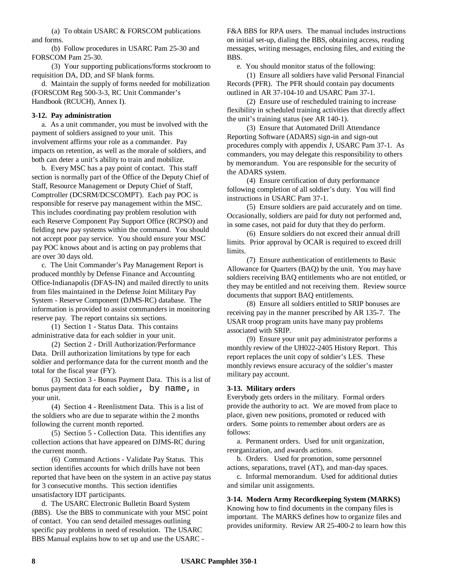(a) To obtain USARC & FORSCOM publications and forms.

(b) Follow procedures in USARC Pam 25-30 and FORSCOM Pam 25-30.

(3) Your supporting publications/forms stockroom to requisition DA, DD, and SF blank forms.

d. Maintain the supply of forms needed for mobilization (FORSCOM Reg 500-3-3, RC Unit Commander's Handbook (RCUCH), Annex I).

### **3-12. Pay administration**

a. As a unit commander, you must be involved with the payment of soldiers assigned to your unit. This involvement affirms your role as a commander. Pay impacts on retention, as well as the morale of soldiers, and both can deter a unit's ability to train and mobilize.

b. Every MSC has a pay point of contact. This staff section is normally part of the Office of the Deputy Chief of Staff, Resource Management or Deputy Chief of Staff, Comptroller (DCSRM/DCSCOMPT). Each pay POC is responsible for reserve pay management within the MSC. This includes coordinating pay problem resolution with each Reserve Component Pay Support Office (RCPSO) and fielding new pay systems within the command. You should not accept poor pay service. You should ensure your MSC pay POC knows about and is acting on pay problems that are over 30 days old.

c. The Unit Commander's Pay Management Report is produced monthly by Defense Finance and Accounting Office-Indianapolis (DFAS-IN) and mailed directly to units from files maintained in the Defense Joint Military Pay System - Reserve Component (DJMS-RC) database. The information is provided to assist commanders in monitoring reserve pay. The report contains six sections.

(1) Section 1 - Status Data. This contains administrative data for each soldier in your unit.

(2) Section 2 - Drill Authorization/Performance Data. Drill authorization limitations by type for each soldier and performance data for the current month and the total for the fiscal year (FY).

(3) Section 3 - Bonus Payment Data. This is a list of bonus payment data for each soldier, by name, in your unit.

(4) Section 4 - Reenlistment Data. This is a list of the soldiers who are due to separate within the 2 months following the current month reported.

(5) Section 5 - Collection Data. This identifies any collection actions that have appeared on DJMS-RC during the current month.

(6) Command Actions - Validate Pay Status. This section identifies accounts for which drills have not been reported that have been on the system in an active pay status for 3 consecutive months. This section identifies unsatisfactory IDT participants.

d. The USARC Electronic Bulletin Board System (BBS). Use the BBS to communicate with your MSC point of contact. You can send detailed messages outlining specific pay problems in need of resolution. The USARC BBS Manual explains how to set up and use the USARC -

F&A BBS for RPA users. The manual includes instructions on initial set-up, dialing the BBS, obtaining access, reading messages, writing messages, enclosing files, and exiting the BBS.

e. You should monitor status of the following:

(1) Ensure all soldiers have valid Personal Financial Records (PFR). The PFR should contain pay documents outlined in AR 37-104-10 and USARC Pam 37-1.

(2) Ensure use of rescheduled training to increase flexibility in scheduled training activities that directly affect the unit's training status (see AR 140-1).

(3) Ensure that Automated Drill Attendance Reporting Software (ADARS) sign-in and sign-out procedures comply with appendix J, USARC Pam 37-1. As commanders, you may delegate this responsibility to others by memorandum. You are responsible for the security of the ADARS system.

(4) Ensure certification of duty performance following completion of all soldier's duty. You will find instructions in USARC Pam 37-1.

(5) Ensure soldiers are paid accurately and on time. Occasionally, soldiers are paid for duty not performed and, in some cases, not paid for duty that they do perform.

(6) Ensure soldiers do not exceed their annual drill limits. Prior approval by OCAR is required to exceed drill limits.

(7) Ensure authentication of entitlements to Basic Allowance for Quarters (BAQ) by the unit. You may have soldiers receiving BAQ entitlements who are not entitled, or they may be entitled and not receiving them. Review source documents that support BAQ entitlements.

(8) Ensure all soldiers entitled to SRIP bonuses are receiving pay in the manner prescribed by AR 135-7. The USAR troop program units have many pay problems associated with SRIP.

(9) Ensure your unit pay administrator performs a monthly review of the UH022-2405 History Report. This report replaces the unit copy of soldier's LES. These monthly reviews ensure accuracy of the soldier's master military pay account.

### **3-13. Military orders**

Everybody gets orders in the military. Formal orders provide the authority to act. We are moved from place to place, given new positions, promoted or reduced with orders. Some points to remember about orders are as follows:

a. Permanent orders. Used for unit organization, reorganization, and awards actions.

b. Orders. Used for promotion, some personnel actions, separations, travel (AT), and man-day spaces.

c. Informal memorandum. Used for additional duties and similar unit assignments.

### **3-14. Modern Army Recordkeeping System (MARKS)**

Knowing how to find documents in the company files is important. The MARKS defines how to organize files and provides uniformity. Review AR 25-400-2 to learn how this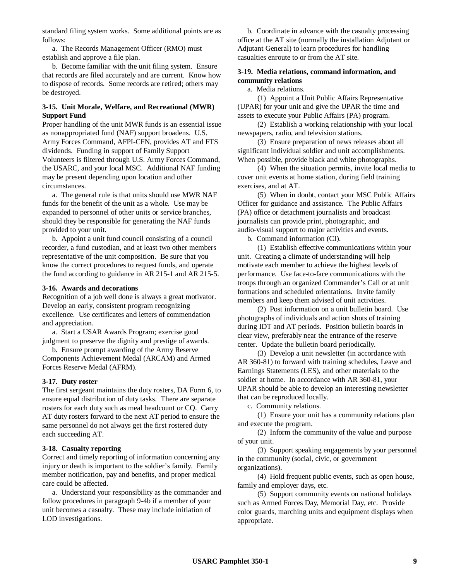standard filing system works. Some additional points are as follows:

a. The Records Management Officer (RMO) must establish and approve a file plan.

b. Become familiar with the unit filing system. Ensure that records are filed accurately and are current. Know how to dispose of records. Some records are retired; others may be destroyed.

### **3-15. Unit Morale, Welfare, and Recreational (MWR) Support Fund**

Proper handling of the unit MWR funds is an essential issue as nonappropriated fund (NAF) support broadens. U.S. Army Forces Command, AFPI-CFN, provides AT and FTS dividends. Funding in support of Family Support Volunteers is filtered through U.S. Army Forces Command, the USARC, and your local MSC. Additional NAF funding may be present depending upon location and other circumstances.

a. The general rule is that units should use MWR NAF funds for the benefit of the unit as a whole. Use may be expanded to personnel of other units or service branches, should they be responsible for generating the NAF funds provided to your unit.

b. Appoint a unit fund council consisting of a council recorder, a fund custodian, and at least two other members representative of the unit composition. Be sure that you know the correct procedures to request funds, and operate the fund according to guidance in AR 215-1 and AR 215-5.

#### **3-16. Awards and decorations**

Recognition of a job well done is always a great motivator. Develop an early, consistent program recognizing excellence. Use certificates and letters of commendation and appreciation.

a. Start a USAR Awards Program; exercise good judgment to preserve the dignity and prestige of awards.

b. Ensure prompt awarding of the Army Reserve Components Achievement Medal (ARCAM) and Armed Forces Reserve Medal (AFRM).

### **3-17. Duty roster**

The first sergeant maintains the duty rosters, DA Form 6, to ensure equal distribution of duty tasks. There are separate rosters for each duty such as meal headcount or CQ. Carry AT duty rosters forward to the next AT period to ensure the same personnel do not always get the first rostered duty each succeeding AT.

### **3-18. Casualty reporting**

Correct and timely reporting of information concerning any injury or death is important to the soldier's family. Family member notification, pay and benefits, and proper medical care could be affected.

a. Understand your responsibility as the commander and follow procedures in paragraph 9-4b if a member of your unit becomes a casualty. These may include initiation of LOD investigations.

b. Coordinate in advance with the casualty processing office at the AT site (normally the installation Adjutant or Adjutant General) to learn procedures for handling casualties enroute to or from the AT site.

### **3-19. Media relations, command information, and community relations**

a. Media relations.

(1) Appoint a Unit Public Affairs Representative (UPAR) for your unit and give the UPAR the time and assets to execute your Public Affairs (PA) program.

(2) Establish a working relationship with your local newspapers, radio, and television stations.

(3) Ensure preparation of news releases about all significant individual soldier and unit accomplishments. When possible, provide black and white photographs.

(4) When the situation permits, invite local media to cover unit events at home station, during field training exercises, and at AT.

(5) When in doubt, contact your MSC Public Affairs Officer for guidance and assistance. The Public Affairs (PA) office or detachment journalists and broadcast journalists can provide print, photographic, and audio-visual support to major activities and events.

b. Command information (CI).

(1) Establish effective communications within your unit. Creating a climate of understanding will help motivate each member to achieve the highest levels of performance. Use face-to-face communications with the troops through an organized Commander's Call or at unit formations and scheduled orientations. Invite family members and keep them advised of unit activities.

(2) Post information on a unit bulletin board. Use photographs of individuals and action shots of training during IDT and AT periods. Position bulletin boards in clear view, preferably near the entrance of the reserve center. Update the bulletin board periodically.

(3) Develop a unit newsletter (in accordance with AR 360-81) to forward with training schedules, Leave and Earnings Statements (LES), and other materials to the soldier at home. In accordance with AR 360-81, your UPAR should be able to develop an interesting newsletter that can be reproduced locally.

c. Community relations.

(1) Ensure your unit has a community relations plan and execute the program.

(2) Inform the community of the value and purpose of your unit.

(3) Support speaking engagements by your personnel in the community (social, civic, or government organizations).

(4) Hold frequent public events, such as open house, family and employer days, etc.

(5) Support community events on national holidays such as Armed Forces Day, Memorial Day, etc. Provide color guards, marching units and equipment displays when appropriate.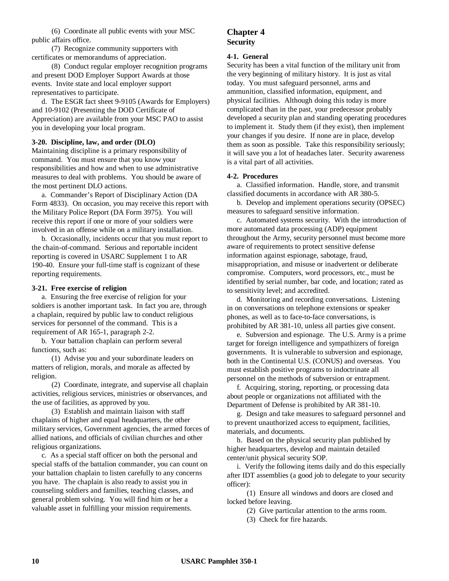(6) Coordinate all public events with your MSC public affairs office.

(7) Recognize community supporters with certificates or memorandums of appreciation.

(8) Conduct regular employer recognition programs and present DOD Employer Support Awards at those events. Invite state and local employer support representatives to participate.

d. The ESGR fact sheet 9-9105 (Awards for Employers) and 10-9102 (Presenting the DOD Certificate of Appreciation) are available from your MSC PAO to assist you in developing your local program.

#### **3-20. Discipline, law, and order (DLO)**

Maintaining discipline is a primary responsibility of command. You must ensure that you know your responsibilities and how and when to use administrative measures to deal with problems. You should be aware of the most pertinent DLO actions.

a. Commander's Report of Disciplinary Action (DA Form 4833). On occasion, you may receive this report with the Military Police Report (DA Form 3975). You will receive this report if one or more of your soldiers were involved in an offense while on a military installation.

b. Occasionally, incidents occur that you must report to the chain-of-command. Serious and reportable incident reporting is covered in USARC Supplement 1 to AR 190-40. Ensure your full-time staff is cognizant of these reporting requirements.

#### **3-21. Free exercise of religion**

a. Ensuring the free exercise of religion for your soldiers is another important task. In fact you are, through a chaplain, required by public law to conduct religious services for personnel of the command. This is a requirement of AR 165-1, paragraph 2-2.

b. Your battalion chaplain can perform several functions, such as:

(1) Advise you and your subordinate leaders on matters of religion, morals, and morale as affected by religion.

(2) Coordinate, integrate, and supervise all chaplain activities, religious services, ministries or observances, and the use of facilities, as approved by you.

(3) Establish and maintain liaison with staff chaplains of higher and equal headquarters, the other military services, Government agencies, the armed forces of allied nations, and officials of civilian churches and other religious organizations.

c. As a special staff officer on both the personal and special staffs of the battalion commander, you can count on your battalion chaplain to listen carefully to any concerns you have. The chaplain is also ready to assist you in counseling soldiers and families, teaching classes, and general problem solving. You will find him or her a valuable asset in fulfilling your mission requirements.

# **Chapter 4 Security**

#### **4-1. General**

Security has been a vital function of the military unit from the very beginning of military history. It is just as vital today. You must safeguard personnel, arms and ammunition, classified information, equipment, and physical facilities. Although doing this today is more complicated than in the past, your predecessor probably developed a security plan and standing operating procedures to implement it. Study them (if they exist), then implement your changes if you desire. If none are in place, develop them as soon as possible. Take this responsibility seriously; it will save you a lot of headaches later. Security awareness is a vital part of all activities.

#### **4-2. Procedures**

a. Classified information. Handle, store, and transmit classified documents in accordance with AR 380-5.

b. Develop and implement operations security (OPSEC) measures to safeguard sensitive information.

c. Automated systems security. With the introduction of more automated data processing (ADP) equipment throughout the Army, security personnel must become more aware of requirements to protect sensitive defense information against espionage, sabotage, fraud, misappropriation, and misuse or inadvertent or deliberate compromise. Computers, word processors, etc., must be identified by serial number, bar code, and location; rated as to sensitivity level; and accredited.

d. Monitoring and recording conversations. Listening in on conversations on telephone extensions or speaker phones, as well as to face-to-face conversations, is prohibited by AR 381-10, unless all parties give consent.

e. Subversion and espionage. The U.S. Army is a prime target for foreign intelligence and sympathizers of foreign governments. It is vulnerable to subversion and espionage, both in the Continental U.S. (CONUS) and overseas. You must establish positive programs to indoctrinate all personnel on the methods of subversion or entrapment.

f. Acquiring, storing, reporting, or processing data about people or organizations not affiliated with the Department of Defense is prohibited by AR 381-10.

g. Design and take measures to safeguard personnel and to prevent unauthorized access to equipment, facilities, materials, and documents.

h. Based on the physical security plan published by higher headquarters, develop and maintain detailed center/unit physical security SOP.

i. Verify the following items daily and do this especially after IDT assemblies (a good job to delegate to your security officer):

(1) Ensure all windows and doors are closed and locked before leaving.

(2) Give particular attention to the arms room.

(3) Check for fire hazards.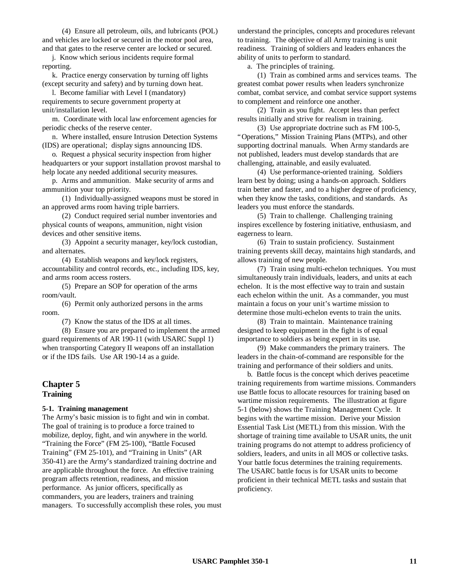(4) Ensure all petroleum, oils, and lubricants (POL) and vehicles are locked or secured in the motor pool area, and that gates to the reserve center are locked or secured.

j. Know which serious incidents require formal reporting.

k. Practice energy conservation by turning off lights (except security and safety) and by turning down heat.

l. Become familiar with Level I (mandatory) requirements to secure government property at unit/installation level.

m. Coordinate with local law enforcement agencies for periodic checks of the reserve center.

n. Where installed, ensure Intrusion Detection Systems (IDS) are operational; display signs announcing IDS.

o. Request a physical security inspection from higher headquarters or your support installation provost marshal to help locate any needed additional security measures.

p. Arms and ammunition. Make security of arms and ammunition your top priority.

(1) Individually-assigned weapons must be stored in an approved arms room having triple barriers.

(2) Conduct required serial number inventories and physical counts of weapons, ammunition, night vision devices and other sensitive items.

(3) Appoint a security manager, key/lock custodian, and alternates.

(4) Establish weapons and key/lock registers, accountability and control records, etc., including IDS, key, and arms room access rosters.

(5) Prepare an SOP for operation of the arms room/vault.

(6) Permit only authorized persons in the arms room.

(7) Know the status of the IDS at all times.

(8) Ensure you are prepared to implement the armed guard requirements of AR 190-11 (with USARC Suppl 1) when transporting Category II weapons off an installation or if the IDS fails. Use AR 190-14 as a guide.

## **Chapter 5 Training**

#### **5-1. Training management**

The Army's basic mission is to fight and win in combat. The goal of training is to produce a force trained to mobilize, deploy, fight, and win anywhere in the world. "Training the Force" (FM 25-100), "Battle Focused Training" (FM 25-101), and "Training in Units" (AR 350-41) are the Army's standardized training doctrine and are applicable throughout the force. An effective training program affects retention, readiness, and mission performance. As junior officers, specifically as commanders, you are leaders, trainers and training managers. To successfully accomplish these roles, you must understand the principles, concepts and procedures relevant to training. The objective of all Army training is unit readiness. Training of soldiers and leaders enhances the ability of units to perform to standard.

a. The principles of training.

(1) Train as combined arms and services teams. The greatest combat power results when leaders synchronize combat, combat service, and combat service support systems to complement and reinforce one another.

(2) Train as you fight. Accept less than perfect results initially and strive for realism in training.

(3) Use appropriate doctrine such as FM 100-5, "Operations," Mission Training Plans (MTPs), and other supporting doctrinal manuals. When Army standards are not published, leaders must develop standards that are challenging, attainable, and easily evaluated.

(4) Use performance-oriented training. Soldiers learn best by doing; using a hands-on approach. Soldiers train better and faster, and to a higher degree of proficiency, when they know the tasks, conditions, and standards. As leaders you must enforce the standards.

(5) Train to challenge. Challenging training inspires excellence by fostering initiative, enthusiasm, and eagerness to learn.

(6) Train to sustain proficiency. Sustainment training prevents skill decay, maintains high standards, and allows training of new people.

(7) Train using multi-echelon techniques. You must simultaneously train individuals, leaders, and units at each echelon. It is the most effective way to train and sustain each echelon within the unit. As a commander, you must maintain a focus on your unit's wartime mission to determine those multi-echelon events to train the units.

(8) Train to maintain. Maintenance training designed to keep equipment in the fight is of equal importance to soldiers as being expert in its use.

(9) Make commanders the primary trainers. The leaders in the chain-of-command are responsible for the training and performance of their soldiers and units.

b. Battle focus is the concept which derives peacetime training requirements from wartime missions. Commanders use Battle focus to allocate resources for training based on wartime mission requirements. The illustration at figure 5-1 (below) shows the Training Management Cycle. It begins with the wartime mission. Derive your Mission Essential Task List (METL) from this mission. With the shortage of training time available to USAR units, the unit training programs do not attempt to address proficiency of soldiers, leaders, and units in all MOS or collective tasks. Your battle focus determines the training requirements. The USARC battle focus is for USAR units to become proficient in their technical METL tasks and sustain that proficiency.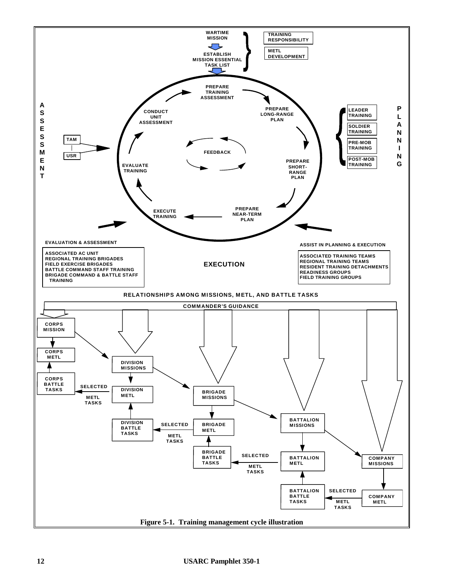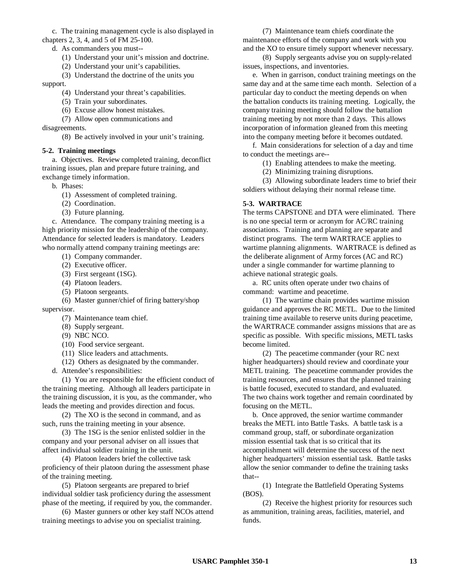c. The training management cycle is also displayed in chapters 2, 3, 4, and 5 of FM 25-100.

- d. As commanders you must--
	- (1) Understand your unit's mission and doctrine.
	- (2) Understand your unit's capabilities.

(3) Understand the doctrine of the units you

support.

- (4) Understand your threat's capabilities.
- (5) Train your subordinates.
- (6) Excuse allow honest mistakes.
- (7) Allow open communications and

disagreements.

(8) Be actively involved in your unit's training.

### **5-2. Training meetings**

a. Objectives. Review completed training, deconflict training issues, plan and prepare future training, and exchange timely information.

- b. Phases:
	- (1) Assessment of completed training.
	- (2) Coordination.
	- (3) Future planning.

c. Attendance. The company training meeting is a high priority mission for the leadership of the company. Attendance for selected leaders is mandatory. Leaders who normally attend company training meetings are:

- (1) Company commander.
- (2) Executive officer.
- (3) First sergeant (1SG).
- (4) Platoon leaders.
- (5) Platoon sergeants.

(6) Master gunner/chief of firing battery/shop supervisor.

- (7) Maintenance team chief.
- (8) Supply sergeant.
- (9) NBC NCO.
- (10) Food service sergeant.
- (11) Slice leaders and attachments.
- (12) Others as designated by the commander.
- d. Attendee's responsibilities:

(1) You are responsible for the efficient conduct of the training meeting. Although all leaders participate in the training discussion, it is you, as the commander, who leads the meeting and provides direction and focus.

(2) The XO is the second in command, and as such, runs the training meeting in your absence.

(3) The 1SG is the senior enlisted soldier in the company and your personal adviser on all issues that affect individual soldier training in the unit.

(4) Platoon leaders brief the collective task proficiency of their platoon during the assessment phase of the training meeting.

(5) Platoon sergeants are prepared to brief individual soldier task proficiency during the assessment phase of the meeting, if required by you, the commander.

(6) Master gunners or other key staff NCOs attend training meetings to advise you on specialist training.

(7) Maintenance team chiefs coordinate the maintenance efforts of the company and work with you and the XO to ensure timely support whenever necessary.

(8) Supply sergeants advise you on supply-related issues, inspections, and inventories.

e. When in garrison, conduct training meetings on the same day and at the same time each month. Selection of a particular day to conduct the meeting depends on when the battalion conducts its training meeting. Logically, the company training meeting should follow the battalion training meeting by not more than 2 days. This allows incorporation of information gleaned from this meeting into the company meeting before it becomes outdated.

f. Main considerations for selection of a day and time to conduct the meetings are--

- (1) Enabling attendees to make the meeting.
- (2) Minimizing training disruptions.

(3) Allowing subordinate leaders time to brief their soldiers without delaying their normal release time.

### **5-3. WARTRACE**

The terms CAPSTONE and DTA were eliminated. There is no one special term or acronym for AC/RC training associations. Training and planning are separate and distinct programs. The term WARTRACE applies to wartime planning alignments. WARTRACE is defined as the deliberate alignment of Army forces (AC and RC) under a single commander for wartime planning to achieve national strategic goals.

a. RC units often operate under two chains of command: wartime and peacetime.

(1) The wartime chain provides wartime mission guidance and approves the RC METL. Due to the limited training time available to reserve units during peacetime, the WARTRACE commander assigns missions that are as specific as possible. With specific missions, METL tasks become limited.

(2) The peacetime commander (your RC next higher headquarters) should review and coordinate your METL training. The peacetime commander provides the training resources, and ensures that the planned training is battle focused, executed to standard, and evaluated. The two chains work together and remain coordinated by focusing on the METL.

b. Once approved, the senior wartime commander breaks the METL into Battle Tasks. A battle task is a command group, staff, or subordinate organization mission essential task that is so critical that its accomplishment will determine the success of the next higher headquarters' mission essential task. Battle tasks allow the senior commander to define the training tasks that--

(1) Integrate the Battlefield Operating Systems (BOS).

(2) Receive the highest priority for resources such as ammunition, training areas, facilities, materiel, and funds.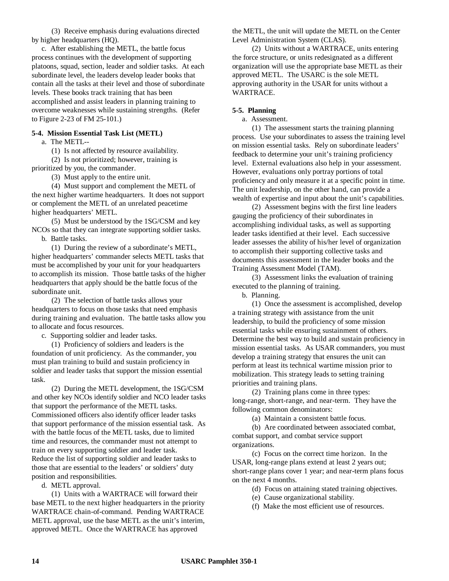(3) Receive emphasis during evaluations directed by higher headquarters (HQ).

c. After establishing the METL, the battle focus process continues with the development of supporting platoons, squad, section, leader and soldier tasks. At each subordinate level, the leaders develop leader books that contain all the tasks at their level and those of subordinate levels. These books track training that has been accomplished and assist leaders in planning training to overcome weaknesses while sustaining strengths. (Refer to Figure 2-23 of FM 25-101.)

### **5-4. Mission Essential Task List (METL)**

a. The METL--

(1) Is not affected by resource availability.

(2) Is not prioritized; however, training is

prioritized by you, the commander.

(3) Must apply to the entire unit.

(4) Must support and complement the METL of the next higher wartime headquarters. It does not support or complement the METL of an unrelated peacetime higher headquarters' METL.

(5) Must be understood by the 1SG/CSM and key NCOs so that they can integrate supporting soldier tasks. b. Battle tasks.

(1) During the review of a subordinate's METL, higher headquarters' commander selects METL tasks that

must be accomplished by your unit for your headquarters to accomplish its mission. Those battle tasks of the higher headquarters that apply should be the battle focus of the subordinate unit.

(2) The selection of battle tasks allows your headquarters to focus on those tasks that need emphasis during training and evaluation. The battle tasks allow you to allocate and focus resources.

c. Supporting soldier and leader tasks.

(1) Proficiency of soldiers and leaders is the foundation of unit proficiency. As the commander, you must plan training to build and sustain proficiency in soldier and leader tasks that support the mission essential task.

(2) During the METL development, the 1SG/CSM and other key NCOs identify soldier and NCO leader tasks that support the performance of the METL tasks. Commissioned officers also identify officer leader tasks that support performance of the mission essential task. As with the battle focus of the METL tasks, due to limited time and resources, the commander must not attempt to train on every supporting soldier and leader task. Reduce the list of supporting soldier and leader tasks to those that are essential to the leaders' or soldiers' duty position and responsibilities.

d. METL approval.

(1) Units with a WARTRACE will forward their base METL to the next higher headquarters in the priority WARTRACE chain-of-command. Pending WARTRACE METL approval, use the base METL as the unit's interim, approved METL. Once the WARTRACE has approved

the METL, the unit will update the METL on the Center Level Administration System (CLAS).

(2) Units without a WARTRACE, units entering the force structure, or units redesignated as a different organization will use the appropriate base METL as their approved METL. The USARC is the sole METL approving authority in the USAR for units without a WARTRACE.

#### **5-5. Planning**

a. Assessment.

(1) The assessment starts the training planning process. Use your subordinates to assess the training level on mission essential tasks. Rely on subordinate leaders' feedback to determine your unit's training proficiency level. External evaluations also help in your assessment. However, evaluations only portray portions of total proficiency and only measure it at a specific point in time. The unit leadership, on the other hand, can provide a wealth of expertise and input about the unit's capabilities.

(2) Assessment begins with the first line leaders gauging the proficiency of their subordinates in accomplishing individual tasks, as well as supporting leader tasks identified at their level. Each successive leader assesses the ability of his/her level of organization to accomplish their supporting collective tasks and documents this assessment in the leader books and the Training Assessment Model (TAM).

(3) Assessment links the evaluation of training executed to the planning of training.

b. Planning.

(1) Once the assessment is accomplished, develop a training strategy with assistance from the unit leadership, to build the proficiency of some mission essential tasks while ensuring sustainment of others. Determine the best way to build and sustain proficiency in mission essential tasks. As USAR commanders, you must develop a training strategy that ensures the unit can perform at least its technical wartime mission prior to mobilization. This strategy leads to setting training priorities and training plans.

(2) Training plans come in three types: long-range, short-range, and near-term. They have the following common denominators:

(a) Maintain a consistent battle focus.

(b) Are coordinated between associated combat, combat support, and combat service support organizations.

(c) Focus on the correct time horizon. In the USAR, long-range plans extend at least 2 years out; short-range plans cover 1 year; and near-term plans focus on the next 4 months.

(d) Focus on attaining stated training objectives.

(e) Cause organizational stability.

(f) Make the most efficient use of resources.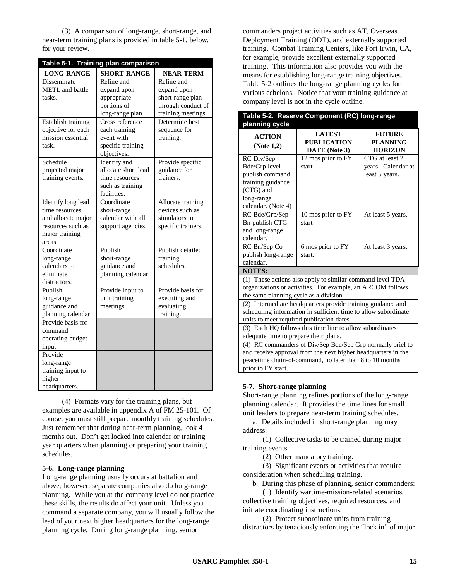(3) A comparison of long-range, short-range, and near-term training plans is provided in table 5-1, below, for your review.

| Table 5-1. Training plan comparison |                     |                    |  |
|-------------------------------------|---------------------|--------------------|--|
| <b>LONG-RANGE</b>                   | <b>SHORT-RANGE</b>  | <b>NEAR-TERM</b>   |  |
| Disseminate                         | Refine and          | Refine and         |  |
| METL and battle                     | expand upon         | expand upon        |  |
| tasks.                              | appropriate         | short-range plan   |  |
|                                     | portions of         | through conduct of |  |
|                                     | long-range plan.    | training meetings. |  |
| Establish training                  | Cross reference     | Determine best     |  |
| objective for each                  | each training       | sequence for       |  |
| mission essential                   | event with          | training.          |  |
| task.                               | specific training   |                    |  |
|                                     | objectives.         |                    |  |
| Schedule                            | Identify and        | Provide specific   |  |
| projected major                     | allocate short lead | guidance for       |  |
| training events.                    | time resources      | trainers.          |  |
|                                     | such as training    |                    |  |
|                                     | facilities.         |                    |  |
| Identify long lead                  | Coordinate          | Allocate training  |  |
| time resources                      | short-range         | devices such as    |  |
| and allocate major                  | calendar with all   | simulators to      |  |
| resources such as                   | support agencies.   | specific trainers. |  |
| major training                      |                     |                    |  |
| areas.                              |                     |                    |  |
| Coordinate                          | Publish             | Publish detailed   |  |
| long-range                          | short-range         | training           |  |
| calendars to                        | guidance and        | schedules.         |  |
| eliminate                           | planning calendar.  |                    |  |
| distractors.                        |                     |                    |  |
| Publish                             | Provide input to    | Provide basis for  |  |
| long-range                          | unit training       | executing and      |  |
| guidance and                        | meetings.           | evaluating         |  |
| planning calendar.                  |                     | training.          |  |
| Provide basis for                   |                     |                    |  |
| command                             |                     |                    |  |
| operating budget                    |                     |                    |  |
| input.                              |                     |                    |  |
| Provide                             |                     |                    |  |
| long-range                          |                     |                    |  |
| training input to                   |                     |                    |  |
| higher                              |                     |                    |  |
| headquarters.                       |                     |                    |  |

(4) Formats vary for the training plans, but examples are available in appendix A of FM 25-101. Of course, you must still prepare monthly training schedules. Just remember that during near-term planning, look 4 months out. Don't get locked into calendar or training year quarters when planning or preparing your training schedules.

### **5-6. Long-range planning**

Long-range planning usually occurs at battalion and above; however, separate companies also do long-range planning. While you at the company level do not practice these skills, the results do affect your unit. Unless you command a separate company, you will usually follow the lead of your next higher headquarters for the long-range planning cycle. During long-range planning, senior

commanders project activities such as AT, Overseas Deployment Training (ODT), and externally supported training. Combat Training Centers, like Fort Irwin, CA, for example, provide excellent externally supported training. This information also provides you with the means for establishing long-range training objectives. Table 5-2 outlines the long-range planning cycles for various echelons. Notice that your training guidance at company level is not in the cycle outline.

| Table 5-2. Reserve Component (RC) long-range<br>planning cycle                                                                                                                                                |                                                      |                                                        |
|---------------------------------------------------------------------------------------------------------------------------------------------------------------------------------------------------------------|------------------------------------------------------|--------------------------------------------------------|
| <b>ACTION</b><br>(Note 1,2)                                                                                                                                                                                   | <b>LATEST</b><br><b>PUBLICATION</b><br>DATE (Note 3) | <b>FUTURE</b><br><b>PLANNING</b><br><b>HORIZON</b>     |
| RC Div/Sep<br>Bde/Grp level<br>publish command<br>training guidance<br>(CTG) and<br>long-range<br>calendar. (Note 4)                                                                                          | 12 mos prior to FY<br>start                          | CTG at least 2<br>years. Calendar at<br>least 5 years. |
| RC Bde/Grp/Sep<br>Bn publish CTG<br>and long-range<br>calendar.                                                                                                                                               | 10 mos prior to FY<br>start                          | At least 5 years.                                      |
| RC Bn/Sep Co<br>publish long-range<br>calendar.                                                                                                                                                               | 6 mos prior to FY<br>start.                          | At least 3 years.                                      |
| <b>NOTES:</b>                                                                                                                                                                                                 |                                                      |                                                        |
| (1) These actions also apply to similar command level TDA<br>organizations or activities. For example, an ARCOM follows<br>the same planning cycle as a division.                                             |                                                      |                                                        |
| (2) Intermediate headquarters provide training guidance and<br>scheduling information in sufficient time to allow subordinate<br>units to meet required publication dates.                                    |                                                      |                                                        |
| (3) Each HQ follows this time line to allow subordinates<br>adequate time to prepare their plans.                                                                                                             |                                                      |                                                        |
| (4) RC commanders of Div/Sep Bde/Sep Grp normally brief to<br>and receive approval from the next higher headquarters in the<br>peacetime chain-of-command, no later than 8 to 10 months<br>prior to FY start. |                                                      |                                                        |

### **5-7. Short-range planning**

Short-range planning refines portions of the long-range planning calendar. It provides the time lines for small unit leaders to prepare near-term training schedules.

a. Details included in short-range planning may address:

(1) Collective tasks to be trained during major training events.

(2) Other mandatory training.

(3) Significant events or activities that require consideration when scheduling training.

b. During this phase of planning, senior commanders:

(1) Identify wartime-mission-related scenarios, collective training objectives, required resources, and initiate coordinating instructions.

(2) Protect subordinate units from training distractors by tenaciously enforcing the "lock in" of major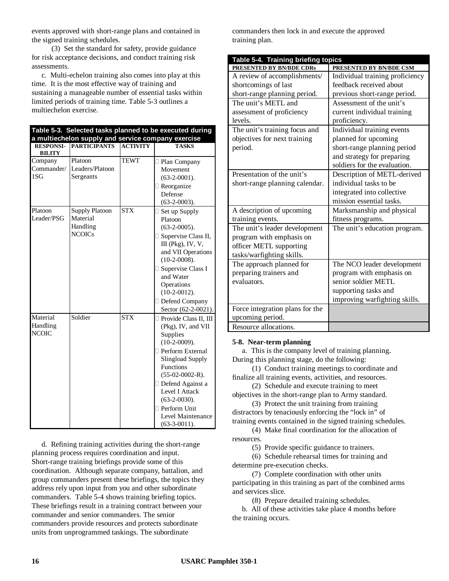events approved with short-range plans and contained in the signed training schedules.

(3) Set the standard for safety, provide guidance for risk acceptance decisions, and conduct training risk assessments.

c. Multi-echelon training also comes into play at this time. It is the most effective way of training and sustaining a manageable number of essential tasks within limited periods of training time. Table 5-3 outlines a multiechelon exercise.

| Table 5-3. Selected tasks planned to be executed during<br>a multiechelon supply and service company exercise |                                                                |                 |                                                                                                                                                                                                                                                                               |
|---------------------------------------------------------------------------------------------------------------|----------------------------------------------------------------|-----------------|-------------------------------------------------------------------------------------------------------------------------------------------------------------------------------------------------------------------------------------------------------------------------------|
| <b>RESPONSI-</b><br><b>BILITY</b>                                                                             | <b>PARTICIPANTS</b>                                            | <b>ACTIVITY</b> | <b>TASKS</b>                                                                                                                                                                                                                                                                  |
| Company<br>Commander/<br>1SG                                                                                  | Platoon<br>Leaders/Platoon<br>Sergeants                        | <b>TEWT</b>     | · Plan Company<br>Movement<br>$(63-2-0001)$ .<br>Reorganize<br>Defense<br>$(63-2-0003)$ .                                                                                                                                                                                     |
| Platoon<br>Leader/PSG                                                                                         | <b>Supply Platoon</b><br>Material<br>Handling<br><b>NCOICs</b> | <b>STX</b>      | · Set up Supply<br>Platoon<br>$(63-2-0005)$ .<br>Supervise Class II,<br>III (Pkg), IV, V,<br>and VII Operations<br>$(10-2-0008).$<br>· Supervise Class I<br>and Water<br>Operations<br>$(10-2-0012)$ .<br>· Defend Company<br>Sector (62-2-0021).                             |
| Material<br>Handling<br><b>NCOIC</b>                                                                          | Soldier                                                        | <b>STX</b>      | · Provide Class II, III<br>(Pkg), IV, and VII<br>Supplies<br>$(10-2-0009)$ .<br>· Perform External<br>Slingload Supply<br>Functions<br>$(55-02-0002-R).$<br>· Defend Against a<br>Level I Attack<br>$(63-2-0030)$ .<br>· Perform Unit<br>Level Maintenance<br>$(63-3-0011)$ . |

d. Refining training activities during the short-range planning process requires coordination and input. Short-range training briefings provide some of this coordination. Although separate company, battalion, and group commanders present these briefings, the topics they address rely upon input from you and other subordinate commanders. Table 5-4 shows training briefing topics. These briefings result in a training contract between your commander and senior commanders. The senior commanders provide resources and protects subordinate units from unprogrammed taskings. The subordinate

commanders then lock in and execute the approved training plan.

| Table 5-4. Training briefing topics |                                 |
|-------------------------------------|---------------------------------|
| PRESENTED BY BN/BDE CDRs            | PRESENTED BY BN/BDE CSM         |
| A review of accomplishments/        | Individual training proficiency |
| shortcomings of last                | feedback received about         |
| short-range planning period.        | previous short-range period.    |
| The unit's METL and                 | Assessment of the unit's        |
| assessment of proficiency           | current individual training     |
| levels.                             | proficiency.                    |
| The unit's training focus and       | Individual training events      |
| objectives for next training        | planned for upcoming            |
| period.                             | short-range planning period     |
|                                     | and strategy for preparing      |
|                                     | soldiers for the evaluation.    |
| Presentation of the unit's          | Description of METL-derived     |
| short-range planning calendar.      | individual tasks to be          |
|                                     | integrated into collective      |
|                                     | mission essential tasks.        |
| A description of upcoming           | Marksmanship and physical       |
| training events.                    | fitness programs.               |
| The unit's leader development       | The unit's education program.   |
| program with emphasis on            |                                 |
| officer METL supporting             |                                 |
| tasks/warfighting skills.           |                                 |
| The approach planned for            | The NCO leader development      |
| preparing trainers and              | program with emphasis on        |
| evaluators.                         | senior soldier METL             |
|                                     | supporting tasks and            |
|                                     | improving warfighting skills.   |
| Force integration plans for the     |                                 |
| upcoming period.                    |                                 |
| Resource allocations.               |                                 |

### **5-8. Near-term planning**

a. This is the company level of training planning. During this planning stage, do the following:

(1) Conduct training meetings to coordinate and finalize all training events, activities, and resources.

(2) Schedule and execute training to meet objectives in the short-range plan to Army standard.

(3) Protect the unit training from training distractors by tenaciously enforcing the "lock in" of training events contained in the signed training schedules.

(4) Make final coordination for the allocation of resources.

(5) Provide specific guidance to trainers.

(6) Schedule rehearsal times for training and determine pre-execution checks.

(7) Complete coordination with other units participating in this training as part of the combined arms and services slice.

(8) Prepare detailed training schedules.

b. All of these activities take place 4 months before the training occurs.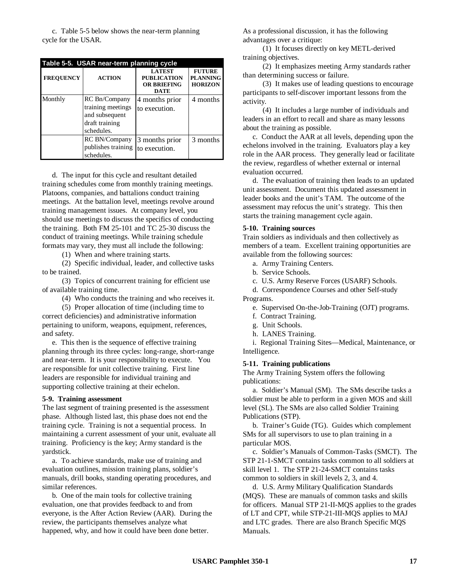c. Table 5-5 below shows the near-term planning cycle for the USAR.

| Table 5-5. USAR near-term planning cycle |                                                                                      |                                                                          |                                                    |
|------------------------------------------|--------------------------------------------------------------------------------------|--------------------------------------------------------------------------|----------------------------------------------------|
| <b>FREOUENCY</b>                         | <b>ACTION</b>                                                                        | <b>LATEST</b><br><b>PUBLICATION</b><br><b>OR BRIEFING</b><br><b>DATE</b> | <b>FUTURE</b><br><b>PLANNING</b><br><b>HORIZON</b> |
| Monthly                                  | RC Bn/Company<br>training meetings<br>and subsequent<br>draft training<br>schedules. | 4 months prior<br>to execution.                                          | 4 months                                           |
|                                          | <b>RC BN/Company</b><br>publishes training<br>schedules.                             | 3 months prior<br>to execution.                                          | 3 months                                           |

d. The input for this cycle and resultant detailed training schedules come from monthly training meetings. Platoons, companies, and battalions conduct training meetings. At the battalion level, meetings revolve around training management issues. At company level, you should use meetings to discuss the specifics of conducting the training. Both FM 25-101 and TC 25-30 discuss the conduct of training meetings. While training schedule formats may vary, they must all include the following:

(1) When and where training starts.

(2) Specific individual, leader, and collective tasks to be trained.

(3) Topics of concurrent training for efficient use of available training time.

(4) Who conducts the training and who receives it.

(5) Proper allocation of time (including time to correct deficiencies) and administrative information pertaining to uniform, weapons, equipment, references, and safety.

e. This then is the sequence of effective training planning through its three cycles: long-range, short-range and near-term. It is your responsibility to execute. You are responsible for unit collective training. First line leaders are responsible for individual training and supporting collective training at their echelon.

#### **5-9. Training assessment**

The last segment of training presented is the assessment phase. Although listed last, this phase does not end the training cycle. Training is not a sequential process. In maintaining a current assessment of your unit, evaluate all training. Proficiency is the key; Army standard is the yardstick.

a. To achieve standards, make use of training and evaluation outlines, mission training plans, soldier's manuals, drill books, standing operating procedures, and similar references.

b. One of the main tools for collective training evaluation, one that provides feedback to and from everyone, is the After Action Review (AAR). During the review, the participants themselves analyze what happened, why, and how it could have been done better.

As a professional discussion, it has the following advantages over a critique:

(1) It focuses directly on key METL-derived training objectives.

(2) It emphasizes meeting Army standards rather than determining success or failure.

(3) It makes use of leading questions to encourage participants to self-discover important lessons from the activity.

(4) It includes a large number of individuals and leaders in an effort to recall and share as many lessons about the training as possible.

c. Conduct the AAR at all levels, depending upon the echelons involved in the training. Evaluators play a key role in the AAR process. They generally lead or facilitate the review, regardless of whether external or internal evaluation occurred.

d. The evaluation of training then leads to an updated unit assessment. Document this updated assessment in leader books and the unit's TAM. The outcome of the assessment may refocus the unit's strategy. This then starts the training management cycle again.

#### **5-10. Training sources**

Train soldiers as individuals and then collectively as members of a team. Excellent training opportunities are available from the following sources:

- a. Army Training Centers.
- b. Service Schools.

c. U.S. Army Reserve Forces (USARF) Schools.

d. Correspondence Courses and other Self-study Programs.

e. Supervised On-the-Job-Training (OJT) programs.

- f. Contract Training.
- g. Unit Schools.
- h. LANES Training.

i. Regional Training Sites— Medical, Maintenance, or Intelligence.

#### **5-11. Training publications**

The Army Training System offers the following publications:

a. Soldier's Manual (SM). The SMs describe tasks a soldier must be able to perform in a given MOS and skill level (SL). The SMs are also called Soldier Training Publications (STP).

b. Trainer's Guide (TG). Guides which complement SMs for all supervisors to use to plan training in a particular MOS.

c. Soldier's Manuals of Common-Tasks (SMCT). The STP 21-1-SMCT contains tasks common to all soldiers at skill level 1. The STP 21-24-SMCT contains tasks common to soldiers in skill levels 2, 3, and 4.

d. U.S. Army Military Qualification Standards (MQS). These are manuals of common tasks and skills for officers. Manual STP 21-II-MQS applies to the grades of LT and CPT, while STP-21-III-MQS applies to MAJ and LTC grades. There are also Branch Specific MQS Manuals.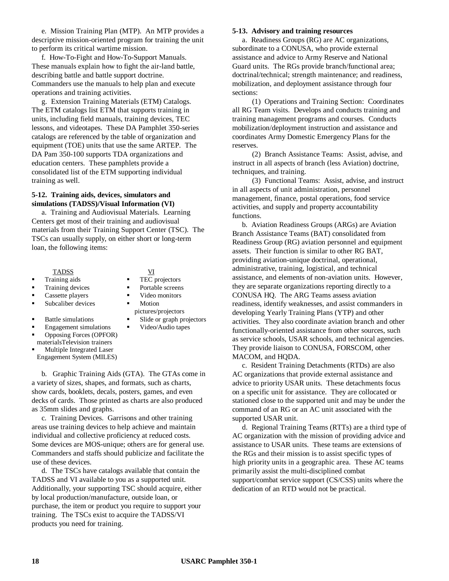e. Mission Training Plan (MTP). An MTP provides a descriptive mission-oriented program for training the unit to perform its critical wartime mission.

f. How-To-Fight and How-To-Support Manuals. These manuals explain how to fight the air-land battle, describing battle and battle support doctrine. Commanders use the manuals to help plan and execute operations and training activities.

g. Extension Training Materials (ETM) Catalogs. The ETM catalogs list ETM that supports training in units, including field manuals, training devices, TEC lessons, and videotapes. These DA Pamphlet 350-series catalogs are referenced by the table of organization and equipment (TOE) units that use the same ARTEP. The DA Pam 350-100 supports TDA organizations and education centers. These pamphlets provide a consolidated list of the ETM supporting individual training as well.

#### **5-12. Training aids, devices, simulators and simulations (TADSS)/Visual Information (VI)**

a. Training and Audiovisual Materials. Learning Centers get most of their training and audiovisual materials from their Training Support Center (TSC). The TSCs can usually supply, on either short or long-term loan, the following items:

#### TADSS VI

- Training aids TEC projectors
- Training devices **••** Portable screens
- Cassette players  $\blacksquare$  Video monitors
- **Subcaliber devices** Motion
- 
- Engagement simulations  $\blacksquare$  Video/Audio tapes
- ß Opposing Forces (OPFOR)
- materialsTelevision trainers
- ß Multiple Integrated Laser Engagement System (MILES)

b. Graphic Training Aids (GTA). The GTAs come in a variety of sizes, shapes, and formats, such as charts, show cards, booklets, decals, posters, games, and even decks of cards. Those printed as charts are also produced as 35mm slides and graphs.

c. Training Devices. Garrisons and other training areas use training devices to help achieve and maintain individual and collective proficiency at reduced costs. Some devices are MOS-unique; others are for general use. Commanders and staffs should publicize and facilitate the use of these devices.

d. The TSCs have catalogs available that contain the TADSS and VI available to you as a supported unit. Additionally, your supporting TSC should acquire, either by local production/manufacture, outside loan, or purchase, the item or product you require to support your training. The TSCs exist to acquire the TADSS/VI products you need for training.

#### **5-13. Advisory and training resources**

a. Readiness Groups (RG) are AC organizations, subordinate to a CONUSA, who provide external assistance and advice to Army Reserve and National Guard units. The RGs provide branch/functional area; doctrinal/technical; strength maintenance; and readiness, mobilization, and deployment assistance through four sections:

(1) Operations and Training Section: Coordinates all RG Team visits. Develops and conducts training and training management programs and courses. Conducts mobilization/deployment instruction and assistance and coordinates Army Domestic Emergency Plans for the reserves.

(2) Branch Assistance Teams: Assist, advise, and instruct in all aspects of branch (less Aviation) doctrine, techniques, and training.

(3) Functional Teams: Assist, advise, and instruct in all aspects of unit administration, personnel management, finance, postal operations, food service activities, and supply and property accountability functions.

b. Aviation Readiness Groups (ARGs) are Aviation Branch Assistance Teams (BAT) consolidated from Readiness Group (RG) aviation personnel and equipment assets. Their function is similar to other RG BAT, providing aviation-unique doctrinal, operational, administrative, training, logistical, and technical assistance, and elements of non-aviation units. However, they are separate organizations reporting directly to a CONUSA HQ. The ARG Teams assess aviation readiness, identify weaknesses, and assist commanders in developing Yearly Training Plans (YTP) and other activities. They also coordinate aviation branch and other functionally-oriented assistance from other sources, such as service schools, USAR schools, and technical agencies. They provide liaison to CONUSA, FORSCOM, other MACOM, and HQDA.

c. Resident Training Detachments (RTDs) are also AC organizations that provide external assistance and advice to priority USAR units. These detachments focus on a specific unit for assistance. They are collocated or stationed close to the supported unit and may be under the command of an RG or an AC unit associated with the supported USAR unit.

d. Regional Training Teams (RTTs) are a third type of AC organization with the mission of providing advice and assistance to USAR units. These teams are extensions of the RGs and their mission is to assist specific types of high priority units in a geographic area. These AC teams primarily assist the multi-disciplined combat support/combat service support (CS/CSS) units where the dedication of an RTD would not be practical.

- pictures/projectors
- Battle simulations <br>
Slide or graph projectors
	-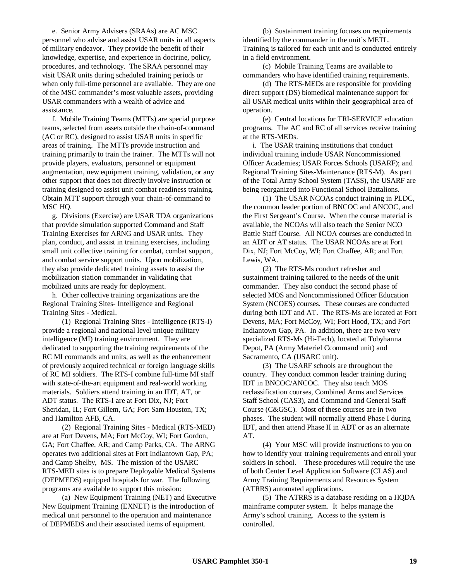e. Senior Army Advisers (SRAAs) are AC MSC personnel who advise and assist USAR units in all aspects of military endeavor. They provide the benefit of their knowledge, expertise, and experience in doctrine, policy, procedures, and technology. The SRAA personnel may visit USAR units during scheduled training periods or when only full-time personnel are available. They are one of the MSC commander's most valuable assets, providing USAR commanders with a wealth of advice and assistance.

f. Mobile Training Teams (MTTs) are special purpose teams, selected from assets outside the chain-of-command (AC or RC), designed to assist USAR units in specific areas of training. The MTTs provide instruction and training primarily to train the trainer. The MTTs will not provide players, evaluators, personnel or equipment augmentation, new equipment training, validation, or any other support that does not directly involve instruction or training designed to assist unit combat readiness training. Obtain MTT support through your chain-of-command to MSC HQ.

g. Divisions (Exercise) are USAR TDA organizations that provide simulation supported Command and Staff Training Exercises for ARNG and USAR units. They plan, conduct, and assist in training exercises, including small unit collective training for combat, combat support, and combat service support units. Upon mobilization, they also provide dedicated training assets to assist the mobilization station commander in validating that mobilized units are ready for deployment.

h. Other collective training organizations are the Regional Training Sites- Intelligence and Regional Training Sites - Medical.

(1) Regional Training Sites - Intelligence (RTS-I) provide a regional and national level unique military intelligence (MI) training environment. They are dedicated to supporting the training requirements of the RC MI commands and units, as well as the enhancement of previously acquired technical or foreign language skills of RC MI soldiers. The RTS-I combine full-time MI staff with state-of-the-art equipment and real-world working materials. Soldiers attend training in an IDT, AT, or ADT status. The RTS-I are at Fort Dix, NJ; Fort Sheridan, IL; Fort Gillem, GA; Fort Sam Houston, TX; and Hamilton AFB, CA.

(2) Regional Training Sites - Medical (RTS-MED) are at Fort Devens, MA; Fort McCoy, WI; Fort Gordon, GA; Fort Chaffee, AR; and Camp Parks, CA. The ARNG operates two additional sites at Fort Indiantown Gap, PA; and Camp Shelby, MS. The mission of the USARC RTS-MED sites is to prepare Deployable Medical Systems (DEPMEDS) equipped hospitals for war. The following programs are available to support this mission:

(a) New Equipment Training (NET) and Executive New Equipment Training (EXNET) is the introduction of medical unit personnel to the operation and maintenance of DEPMEDS and their associated items of equipment.

(b) Sustainment training focuses on requirements identified by the commander in the unit's METL. Training is tailored for each unit and is conducted entirely in a field environment.

(c) Mobile Training Teams are available to commanders who have identified training requirements.

(d) The RTS-MEDs are responsible for providing direct support (DS) biomedical maintenance support for all USAR medical units within their geographical area of operation.

(e) Central locations for TRI-SERVICE education programs. The AC and RC of all services receive training at the RTS-MEDs.

i. The USAR training institutions that conduct individual training include USAR Noncommissioned Officer Academies; USAR Forces Schools (USARF); and Regional Training Sites-Maintenance (RTS-M). As part of the Total Army School System (TASS), the USARF are being reorganized into Functional School Battalions.

(1) The USAR NCOAs conduct training in PLDC, the common leader portion of BNCOC and ANCOC, and the First Sergeant's Course. When the course material is available, the NCOAs will also teach the Senior NCO Battle Staff Course. All NCOA courses are conducted in an ADT or AT status. The USAR NCOAs are at Fort Dix, NJ; Fort McCoy, WI; Fort Chaffee, AR; and Fort Lewis, WA.

(2) The RTS-Ms conduct refresher and sustainment training tailored to the needs of the unit commander. They also conduct the second phase of selected MOS and Noncommissioned Officer Education System (NCOES) courses. These courses are conducted during both IDT and AT. The RTS-Ms are located at Fort Devens, MA; Fort McCoy, WI; Fort Hood, TX; and Fort Indiantown Gap, PA. In addition, there are two very specialized RTS-Ms (Hi-Tech), located at Tobyhanna Depot, PA (Army Materiel Ccommand unit) and Sacramento, CA (USARC unit).

(3) The USARF schools are throughout the country. They conduct common leader training during IDT in BNCOC/ANCOC. They also teach MOS reclassification courses, Combined Arms and Services Staff School (CAS3), and Command and General Staff Course (C&GSC). Most of these courses are in two phases. The student will normally attend Phase I during IDT, and then attend Phase II in ADT or as an alternate AT.

(4) Your MSC will provide instructions to you on how to identify your training requirements and enroll your soldiers in school. These procedures will require the use of both Center Level Application Software (CLAS) and Army Training Requirements and Resources System (ATRRS) automated applications.

(5) The ATRRS is a database residing on a HQDA mainframe computer system. It helps manage the Army's school training. Access to the system is controlled.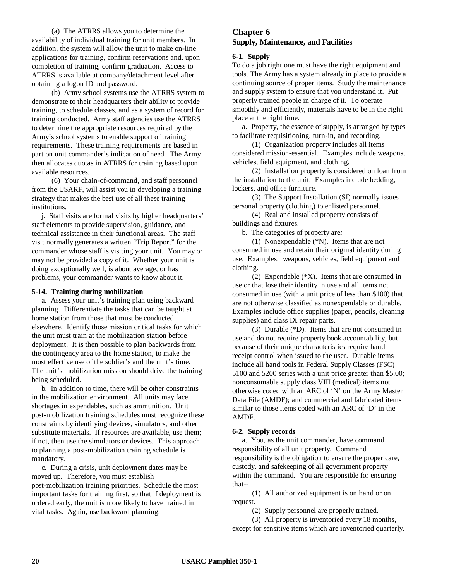(a) The ATRRS allows you to determine the availability of individual training for unit members. In addition, the system will allow the unit to make on-line applications for training, confirm reservations and, upon completion of training, confirm graduation. Access to ATRRS is available at company/detachment level after obtaining a logon ID and password.

(b) Army school systems use the ATRRS system to demonstrate to their headquarters their ability to provide training, to schedule classes, and as a system of record for training conducted. Army staff agencies use the ATRRS to determine the appropriate resources required by the Army's school systems to enable support of training requirements. These training requirements are based in part on unit commander's indication of need. The Army then allocates quotas in ATRRS for training based upon available resources.

(6) Your chain-of-command, and staff personnel from the USARF, will assist you in developing a training strategy that makes the best use of all these training institutions.

j. Staff visits are formal visits by higher headquarters' staff elements to provide supervision, guidance, and technical assistance in their functional areas. The staff visit normally generates a written "Trip Report" for the commander whose staff is visiting your unit. You may or may not be provided a copy of it. Whether your unit is doing exceptionally well, is about average, or has problems, your commander wants to know about it.

#### **5-14. Training during mobilization**

a. Assess your unit's training plan using backward planning. Differentiate the tasks that can be taught at home station from those that must be conducted elsewhere. Identify those mission critical tasks for which the unit must train at the mobilization station before deployment. It is then possible to plan backwards from the contingency area to the home station, to make the most effective use of the soldier's and the unit's time. The unit's mobilization mission should drive the training being scheduled.

b. In addition to time, there will be other constraints in the mobilization environment. All units may face shortages in expendables, such as ammunition. Unit post-mobilization training schedules must recognize these constraints by identifying devices, simulators, and other substitute materials. If resources are available, use them; if not, then use the simulators or devices. This approach to planning a post-mobilization training schedule is mandatory.

c. During a crisis, unit deployment dates may be moved up. Therefore, you must establish post-mobilization training priorities. Schedule the most important tasks for training first, so that if deployment is ordered early, the unit is more likely to have trained in vital tasks. Again, use backward planning.

# **Chapter 6 Supply, Maintenance, and Facilities**

#### **6-1. Supply**

To do a job right one must have the right equipment and tools. The Army has a system already in place to provide a continuing source of proper items. Study the maintenance and supply system to ensure that you understand it. Put properly trained people in charge of it. To operate smoothly and efficiently, materials have to be in the right place at the right time.

a. Property, the essence of supply, is arranged by types to facilitate requisitioning, turn-in, and recording.

(1) Organization property includes all items considered mission-essential. Examples include weapons, vehicles, field equipment, and clothing.

(2) Installation property is considered on loan from the installation to the unit. Examples include bedding, lockers, and office furniture.

(3) The Support Installation (SI) normally issues personal property (clothing) to enlisted personnel.

(4) Real and installed property consists of buildings and fixtures.

b. The categories of property are*:*

(1) Nonexpendable (\*N). Items that are not consumed in use and retain their original identity during use. Examples: weapons, vehicles, field equipment and clothing.

(2) Expendable (\*X). Items that are consumed in use or that lose their identity in use and all items not consumed in use (with a unit price of less than \$100) that are not otherwise classified as nonexpendable or durable. Examples include office supplies (paper, pencils, cleaning supplies) and class IX repair parts.

(3) Durable (\*D). Items that are not consumed in use and do not require property book accountability, but because of their unique characteristics require hand receipt control when issued to the user. Durable items include all hand tools in Federal Supply Classes (FSC) 5100 and 5200 series with a unit price greater than \$5.00; nonconsumable supply class VIII (medical) items not otherwise coded with an ARC of 'N' on the Army Master Data File (AMDF); and commercial and fabricated items similar to those items coded with an ARC of 'D' in the AMDF.

#### **6-2. Supply records**

a. You, as the unit commander, have command responsibility of all unit property. Command responsibility is the obligation to ensure the proper care, custody, and safekeeping of all government property within the command. You are responsible for ensuring that--

(1) All authorized equipment is on hand or on request.

(2) Supply personnel are properly trained.

(3) All property is inventoried every 18 months, except for sensitive items which are inventoried quarterly.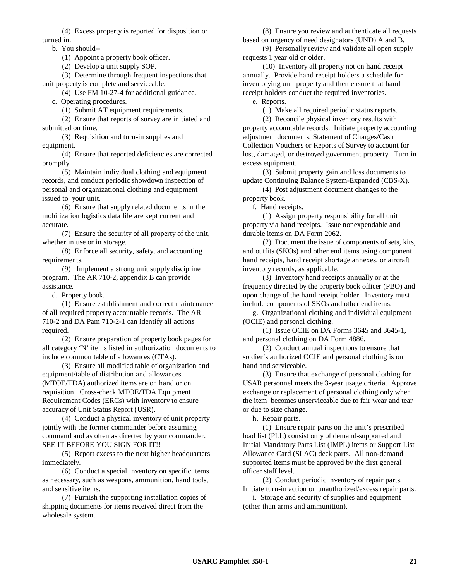(4) Excess property is reported for disposition or turned in.

b. You should--

(1) Appoint a property book officer.

(2) Develop a unit supply SOP.

(3) Determine through frequent inspections that unit property is complete and serviceable.

(4) Use FM 10-27-4 for additional guidance.

c. Operating procedures.

(1) Submit AT equipment requirements.

(2) Ensure that reports of survey are initiated and submitted on time.

(3) Requisition and turn-in supplies and equipment.

(4) Ensure that reported deficiencies are corrected promptly.

(5) Maintain individual clothing and equipment records, and conduct periodic showdown inspection of personal and organizational clothing and equipment issued to your unit.

(6) Ensure that supply related documents in the mobilization logistics data file are kept current and accurate.

(7) Ensure the security of all property of the unit, whether in use or in storage.

(8) Enforce all security, safety, and accounting requirements.

(9) Implement a strong unit supply discipline program. The AR 710-2, appendix B can provide assistance.

d. Property book.

(1) Ensure establishment and correct maintenance of all required property accountable records. The AR 710-2 and DA Pam 710-2-1 can identify all actions required.

(2) Ensure preparation of property book pages for all category 'N' items listed in authorization documents to include common table of allowances (CTAs).

(3) Ensure all modified table of organization and equipment/table of distribution and allowances (MTOE/TDA) authorized items are on hand or on requisition. Cross-check MTOE/TDA Equipment Requirement Codes (ERCs) with inventory to ensure accuracy of Unit Status Report (USR).

(4) Conduct a physical inventory of unit property jointly with the former commander before assuming command and as often as directed by your commander. SEE IT BEFORE YOU SIGN FOR IT!!

(5) Report excess to the next higher headquarters immediately.

(6) Conduct a special inventory on specific items as necessary, such as weapons, ammunition, hand tools, and sensitive items.

(7) Furnish the supporting installation copies of shipping documents for items received direct from the wholesale system.

(8) Ensure you review and authenticate all requests based on urgency of need designators (UND) A and B.

(9) Personally review and validate all open supply requests 1 year old or older.

(10) Inventory all property not on hand receipt annually. Provide hand receipt holders a schedule for inventorying unit property and then ensure that hand receipt holders conduct the required inventories.

e. Reports.

(1) Make all required periodic status reports.

(2) Reconcile physical inventory results with property accountable records. Initiate property accounting adjustment documents, Statement of Charges/Cash Collection Vouchers or Reports of Survey to account for lost, damaged, or destroyed government property. Turn in excess equipment.

(3) Submit property gain and loss documents to update Continuing Balance System-Expanded (CBS-X).

(4) Post adjustment document changes to the property book.

f. Hand receipts.

(1) Assign property responsibility for all unit property via hand receipts. Issue nonexpendable and durable items on DA Form 2062.

(2) Document the issue of components of sets, kits, and outfits (SKOs) and other end items using component hand receipts, hand receipt shortage annexes, or aircraft inventory records, as applicable.

(3) Inventory hand receipts annually or at the frequency directed by the property book officer (PBO) and upon change of the hand receipt holder. Inventory must include components of SKOs and other end items.

g. Organizational clothing and individual equipment (OCIE) and personal clothing.

(1) Issue OCIE on DA Forms 3645 and 3645-1, and personal clothing on DA Form 4886.

(2) Conduct annual inspections to ensure that soldier's authorized OCIE and personal clothing is on hand and serviceable.

(3) Ensure that exchange of personal clothing for USAR personnel meets the 3-year usage criteria. Approve exchange or replacement of personal clothing only when the item becomes unserviceable due to fair wear and tear or due to size change.

h. Repair parts.

(1) Ensure repair parts on the unit's prescribed load list (PLL) consist only of demand-supported and Initial Mandatory Parts List (IMPL) items or Support List Allowance Card (SLAC) deck parts. All non-demand supported items must be approved by the first general officer staff level.

(2) Conduct periodic inventory of repair parts. Initiate turn-in action on unauthorized/excess repair parts.

i. Storage and security of supplies and equipment (other than arms and ammunition).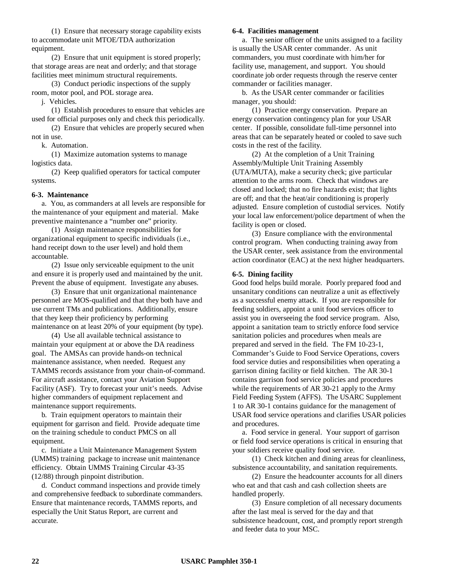(1) Ensure that necessary storage capability exists to accommodate unit MTOE/TDA authorization equipment.

(2) Ensure that unit equipment is stored properly; that storage areas are neat and orderly; and that storage facilities meet minimum structural requirements.

(3) Conduct periodic inspections of the supply room, motor pool, and POL storage area.

j. Vehicles.

(1) Establish procedures to ensure that vehicles are used for official purposes only and check this periodically.

(2) Ensure that vehicles are properly secured when not in use.

k. Automation.

(1) Maximize automation systems to manage logistics data.

(2) Keep qualified operators for tactical computer systems.

#### **6-3. Maintenance**

a. You, as commanders at all levels are responsible for the maintenance of your equipment and material. Make preventive maintenance a "number one" priority.

(1) Assign maintenance responsibilities for organizational equipment to specific individuals (i.e., hand receipt down to the user level) and hold them accountable.

(2) Issue only serviceable equipment to the unit and ensure it is properly used and maintained by the unit. Prevent the abuse of equipment. Investigate any abuses.

(3) Ensure that unit organizational maintenance personnel are MOS-qualified and that they both have and use current TMs and publications. Additionally, ensure that they keep their proficiency by performing maintenance on at least 20% of your equipment (by type).

(4) Use all available technical assistance to maintain your equipment at or above the DA readiness goal. The AMSAs can provide hands-on technical maintenance assistance, when needed. Request any TAMMS records assistance from your chain-of-command. For aircraft assistance, contact your Aviation Support Facility (ASF). Try to forecast your unit's needs. Advise higher commanders of equipment replacement and maintenance support requirements.

b. Train equipment operators to maintain their equipment for garrison and field. Provide adequate time on the training schedule to conduct PMCS on all equipment.

c. Initiate a Unit Maintenance Management System (UMMS) training package to increase unit maintenance efficiency. Obtain UMMS Training Circular 43-35 (12/88) through pinpoint distribution.

d. Conduct command inspections and provide timely and comprehensive feedback to subordinate commanders. Ensure that maintenance records, TAMMS reports, and especially the Unit Status Report, are current and accurate.

#### **6-4. Facilities management**

a. The senior officer of the units assigned to a facility is usually the USAR center commander. As unit commanders, you must coordinate with him/her for facility use, management, and support. You should coordinate job order requests through the reserve center commander or facilities manager.

b. As the USAR center commander or facilities manager, you should:

(1) Practice energy conservation. Prepare an energy conservation contingency plan for your USAR center. If possible, consolidate full-time personnel into areas that can be separately heated or cooled to save such costs in the rest of the facility.

(2) At the completion of a Unit Training Assembly/Multiple Unit Training Assembly (UTA/MUTA), make a security check; give particular attention to the arms room. Check that windows are closed and locked; that no fire hazards exist; that lights are off; and that the heat/air conditioning is properly adjusted. Ensure completion of custodial services. Notify your local law enforcement/police department of when the facility is open or closed.

(3) Ensure compliance with the environmental control program. When conducting training away from the USAR center, seek assistance from the environmental action coordinator (EAC) at the next higher headquarters.

#### **6-5. Dining facility**

Good food helps build morale. Poorly prepared food and unsanitary conditions can neutralize a unit as effectively as a successful enemy attack. If you are responsible for feeding soldiers, appoint a unit food services officer to assist you in overseeing the food service program. Also, appoint a sanitation team to strictly enforce food service sanitation policies and procedures when meals are prepared and served in the field. The FM 10-23-1, Commander's Guide to Food Service Operations, covers food service duties and responsibilities when operating a garrison dining facility or field kitchen. The AR 30-1 contains garrison food service policies and procedures while the requirements of AR 30-21 apply to the Army Field Feeding System (AFFS). The USARC Supplement 1 to AR 30-1 contains guidance for the management of USAR food service operations and clarifies USAR policies and procedures.

a. Food service in general. Your support of garrison or field food service operations is critical in ensuring that your soldiers receive quality food service.

(1) Check kitchen and dining areas for cleanliness, subsistence accountability, and sanitation requirements.

(2) Ensure the headcounter accounts for all diners who eat and that cash and cash collection sheets are handled properly.

(3) Ensure completion of all necessary documents after the last meal is served for the day and that subsistence headcount, cost, and promptly report strength and feeder data to your MSC.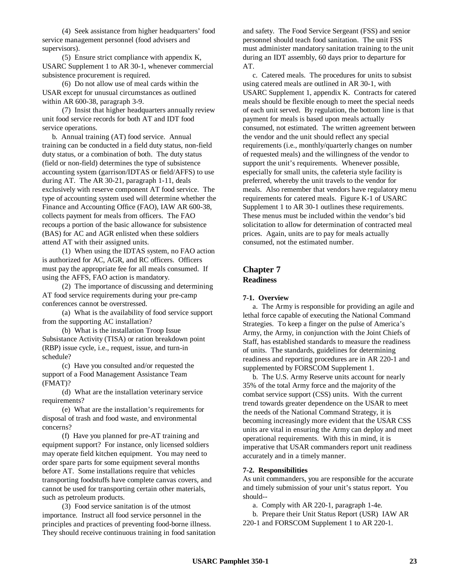(4) Seek assistance from higher headquarters' food service management personnel (food advisers and supervisors).

(5) Ensure strict compliance with appendix K, USARC Supplement 1 to AR 30-1, whenever commercial subsistence procurement is required.

(6) Do not allow use of meal cards within the USAR except for unusual circumstances as outlined within AR 600-38, paragraph 3-9.

(7) Insist that higher headquarters annually review unit food service records for both AT and IDT food service operations.

b. Annual training (AT) food service. Annual training can be conducted in a field duty status, non-field duty status, or a combination of both. The duty status (field or non-field) determines the type of subsistence accounting system (garrison/IDTAS or field/AFFS) to use during AT. The AR 30-21, paragraph 1-11, deals exclusively with reserve component AT food service. The type of accounting system used will determine whether the Finance and Accounting Office (FAO), IAW AR 600-38, collects payment for meals from officers. The FAO recoups a portion of the basic allowance for subsistence (BAS) for AC and AGR enlisted when these soldiers attend AT with their assigned units.

(1) When using the IDTAS system, no FAO action is authorized for AC, AGR, and RC officers. Officers must pay the appropriate fee for all meals consumed. If using the AFFS, FAO action is mandatory.

(2) The importance of discussing and determining AT food service requirements during your pre-camp conferences cannot be overstressed.

(a) What is the availability of food service support from the supporting AC installation?

(b) What is the installation Troop Issue Subsistance Activity (TISA) or ration breakdown point (RBP) issue cycle, i.e., request, issue, and turn-in schedule?

(c) Have you consulted and/or requested the support of a Food Management Assistance Team (FMAT)?

(d) What are the installation veterinary service requirements?

(e) What are the installation's requirements for disposal of trash and food waste, and environmental concerns?

(f) Have you planned for pre-AT training and equipment support? For instance, only licensed soldiers may operate field kitchen equipment. You may need to order spare parts for some equipment several months before AT. Some installations require that vehicles transporting foodstuffs have complete canvas covers, and cannot be used for transporting certain other materials, such as petroleum products.

(3) Food service sanitation is of the utmost importance. Instruct all food service personnel in the principles and practices of preventing food-borne illness. They should receive continuous training in food sanitation and safety. The Food Service Sergeant (FSS) and senior personnel should teach food sanitation. The unit FSS must administer mandatory sanitation training to the unit during an IDT assembly, 60 days prior to departure for AT.

c. Catered meals. The procedures for units to subsist using catered meals are outlined in AR 30-1, with USARC Supplement 1, appendix K. Contracts for catered meals should be flexible enough to meet the special needs of each unit served. By regulation, the bottom line is that payment for meals is based upon meals actually consumed, not estimated. The written agreement between the vendor and the unit should reflect any special requirements (i.e., monthly/quarterly changes on number of requested meals) and the willingness of the vendor to support the unit's requirements. Whenever possible, especially for small units, the cafeteria style facility is preferred, whereby the unit travels to the vendor for meals. Also remember that vendors have regulatory menu requirements for catered meals. Figure K-1 of USARC Supplement 1 to AR 30-1 outlines these requirements. These menus must be included within the vendor's bid solicitation to allow for determination of contracted meal prices. Again, units are to pay for meals actually consumed, not the estimated number.

# **Chapter 7 Readiness**

#### **7-1. Overview**

a. The Army is responsible for providing an agile and lethal force capable of executing the National Command Strategies. To keep a finger on the pulse of America's Army, the Army, in conjunction with the Joint Chiefs of Staff, has established standards to measure the readiness of units. The standards, guidelines for determining readiness and reporting procedures are in AR 220-1 and supplemented by FORSCOM Supplement 1.

b. The U.S. Army Reserve units account for nearly 35% of the total Army force and the majority of the combat service support (CSS) units. With the current trend towards greater dependence on the USAR to meet the needs of the National Command Strategy, it is becoming increasingly more evident that the USAR CSS units are vital in ensuring the Army can deploy and meet operational requirements. With this in mind, it is imperative that USAR commanders report unit readiness accurately and in a timely manner.

#### **7-2. Responsibilities**

As unit commanders, you are responsible for the accurate and timely submission of your unit's status report. You should--

a. Comply with AR 220-1, paragraph 1-4e.

b. Prepare their Unit Status Report (USR) IAW AR 220-1 and FORSCOM Supplement 1 to AR 220-1.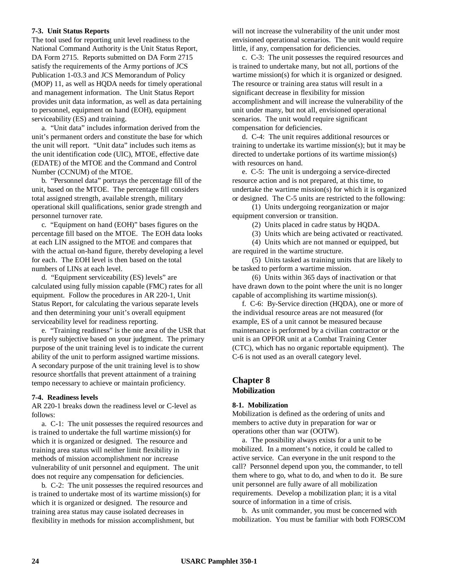### **7-3. Unit Status Reports**

The tool used for reporting unit level readiness to the National Command Authority is the Unit Status Report, DA Form 2715. Reports submitted on DA Form 2715 satisfy the requirements of the Army portions of JCS Publication 1-03.3 and JCS Memorandum of Policy (MOP) 11, as well as HQDA needs for timely operational and management information. The Unit Status Report provides unit data information, as well as data pertaining to personnel, equipment on hand (EOH), equipment serviceability (ES) and training.

a. "Unit data" includes information derived from the unit's permanent orders and constitute the base for which the unit will report. "Unit data" includes such items as the unit identification code (UIC), MTOE, effective date (EDATE) of the MTOE and the Command and Control Number (CCNUM) of the MTOE.

b. "Personnel data" portrays the percentage fill of the unit, based on the MTOE. The percentage fill considers total assigned strength, available strength, military operational skill qualifications, senior grade strength and personnel turnover rate.

c. "Equipment on hand (EOH)" bases figures on the percentage fill based on the MTOE. The EOH data looks at each LIN assigned to the MTOE and compares that with the actual on-hand figure, thereby developing a level for each. The EOH level is then based on the total numbers of LINs at each level.

d. "Equipment serviceability (ES) levels" are calculated using fully mission capable (FMC) rates for all equipment. Follow the procedures in AR 220-1, Unit Status Report, for calculating the various separate levels and then determining your unit's overall equipment serviceability level for readiness reporting.

e. "Training readiness" is the one area of the USR that is purely subjective based on your judgment. The primary purpose of the unit training level is to indicate the current ability of the unit to perform assigned wartime missions. A secondary purpose of the unit training level is to show resource shortfalls that prevent attainment of a training tempo necessary to achieve or maintain proficiency.

#### **7-4. Readiness levels**

AR 220-1 breaks down the readiness level or C-level as follows:

a. C-1: The unit possesses the required resources and is trained to undertake the full wartime mission(s) for which it is organized or designed. The resource and training area status will neither limit flexibility in methods of mission accomplishment nor increase vulnerability of unit personnel and equipment. The unit does not require any compensation for deficiencies.

b. C-2: The unit possesses the required resources and is trained to undertake most of its wartime mission(s) for which it is organized or designed. The resource and training area status may cause isolated decreases in flexibility in methods for mission accomplishment, but

will not increase the vulnerability of the unit under most envisioned operational scenarios. The unit would require little, if any, compensation for deficiencies.

c. C-3: The unit possesses the required resources and is trained to undertake many, but not all, portions of the wartime mission(s) for which it is organized or designed. The resource or training area status will result in a significant decrease in flexibility for mission accomplishment and will increase the vulnerability of the unit under many, but not all, envisioned operational scenarios. The unit would require significant compensation for deficiencies.

d. C-4: The unit requires additional resources or training to undertake its wartime mission(s); but it may be directed to undertake portions of its wartime mission(s) with resources on hand.

e. C-5: The unit is undergoing a service-directed resource action and is not prepared, at this time, to undertake the wartime mission(s) for which it is organized or designed. The C-5 units are restricted to the following:

(1) Units undergoing reorganization or major equipment conversion or transition.

(2) Units placed in cadre status by HQDA.

(3) Units which are being activated or reactivated.

(4) Units which are not manned or equipped, but are required in the wartime structure.

(5) Units tasked as training units that are likely to be tasked to perform a wartime mission.

(6) Units within 365 days of inactivation or that have drawn down to the point where the unit is no longer capable of accomplishing its wartime mission(s).

f. C-6: By-Service direction (HQDA), one or more of the individual resource areas are not measured (for example, ES of a unit cannot be measured because maintenance is performed by a civilian contractor or the unit is an OPFOR unit at a Combat Training Center (CTC), which has no organic reportable equipment). The C-6 is not used as an overall category level.

## **Chapter 8 Mobilization**

### **8-1. Mobilization**

Mobilization is defined as the ordering of units and members to active duty in preparation for war or operations other than war (OOTW).

a. The possibility always exists for a unit to be mobilized. In a moment's notice, it could be called to active service. Can everyone in the unit respond to the call? Personnel depend upon you, the commander, to tell them where to go, what to do, and when to do it. Be sure unit personnel are fully aware of all mobilization requirements. Develop a mobilization plan; it is a vital source of information in a time of crisis.

b. As unit commander, you must be concerned with mobilization. You must be familiar with both FORSCOM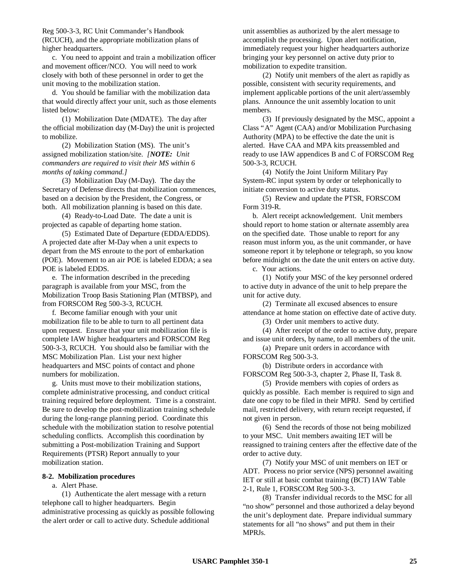Reg 500-3-3, RC Unit Commander's Handbook (RCUCH), and the appropriate mobilization plans of higher headquarters.

c. You need to appoint and train a mobilization officer and movement officer/NCO. You will need to work closely with both of these personnel in order to get the unit moving to the mobilization station.

d. You should be familiar with the mobilization data that would directly affect your unit, such as those elements listed below:

(1) Mobilization Date (MDATE). The day after the official mobilization day (M-Day) the unit is projected to mobilize.

(2) Mobilization Station (MS). The unit's assigned mobilization station/site. *[NOTE: Unit commanders are required to visit their MS within 6 months of taking command.]*

(3) Mobilization Day (M-Day). The day the Secretary of Defense directs that mobilization commences, based on a decision by the President, the Congress, or both. All mobilization planning is based on this date.

(4) Ready-to-Load Date. The date a unit is projected as capable of departing home station.

(5) Estimated Date of Departure (EDDA/EDDS). A projected date after M-Day when a unit expects to depart from the MS enroute to the port of embarkation (POE). Movement to an air POE is labeled EDDA; a sea POE is labeled EDDS.

e. The information described in the preceding paragraph is available from your MSC, from the Mobilization Troop Basis Stationing Plan (MTBSP), and from FORSCOM Reg 500-3-3, RCUCH.

f. Become familiar enough with your unit mobilization file to be able to turn to all pertinent data upon request. Ensure that your unit mobilization file is complete IAW higher headquarters and FORSCOM Reg 500-3-3, RCUCH. You should also be familiar with the MSC Mobilization Plan. List your next higher headquarters and MSC points of contact and phone numbers for mobilization.

g. Units must move to their mobilization stations, complete administrative processing, and conduct critical training required before deployment. Time is a constraint. Be sure to develop the post-mobilization training schedule during the long-range planning period. Coordinate this schedule with the mobilization station to resolve potential scheduling conflicts. Accomplish this coordination by submitting a Post-mobilization Training and Support Requirements (PTSR) Report annually to your mobilization station.

### **8-2. Mobilization procedures**

#### a. Alert Phase.

(1) Authenticate the alert message with a return telephone call to higher headquarters. Begin administrative processing as quickly as possible following the alert order or call to active duty. Schedule additional

unit assemblies as authorized by the alert message to accomplish the processing. Upon alert notification, immediately request your higher headquarters authorize bringing your key personnel on active duty prior to mobilization to expedite transition.

(2) Notify unit members of the alert as rapidly as possible, consistent with security requirements, and implement applicable portions of the unit alert/assembly plans. Announce the unit assembly location to unit members.

(3) If previously designated by the MSC, appoint a Class "A" Agent (CAA) and/or Mobilization Purchasing Authority (MPA) to be effective the date the unit is alerted. Have CAA and MPA kits preassembled and ready to use IAW appendices B and C of FORSCOM Reg 500-3-3, RCUCH.

(4) Notify the Joint Uniform Military Pay System-RC input system by order or telephonically to initiate conversion to active duty status.

(5) Review and update the PTSR, FORSCOM Form 319-R.

b. Alert receipt acknowledgement. Unit members should report to home station or alternate assembly area on the specified date. Those unable to report for any reason must inform you, as the unit commander, or have someone report it by telephone or telegraph, so you know before midnight on the date the unit enters on active duty.

c. Your actions.

(1) Notify your MSC of the key personnel ordered to active duty in advance of the unit to help prepare the unit for active duty.

(2) Terminate all excused absences to ensure attendance at home station on effective date of active duty.

(3) Order unit members to active duty.

(4) After receipt of the order to active duty, prepare and issue unit orders, by name, to all members of the unit.

(a) Prepare unit orders in accordance with FORSCOM Reg 500-3-3.

(b) Distribute orders in accordance with FORSCOM Reg 500-3-3, chapter 2, Phase II, Task 8.

(5) Provide members with copies of orders as quickly as possible. Each member is required to sign and date one copy to be filed in their MPRJ. Send by certified mail, restricted delivery, with return receipt requested, if not given in person.

(6) Send the records of those not being mobilized to your MSC. Unit members awaiting IET will be reassigned to training centers after the effective date of the order to active duty.

(7) Notify your MSC of unit members on IET or ADT. Process no prior service (NPS) personnel awaiting IET or still at basic combat training (BCT) IAW Table 2-1, Rule 1, FORSCOM Reg 500-3-3.

(8) Transfer individual records to the MSC for all "no show" personnel and those authorized a delay beyond the unit's deployment date. Prepare individual summary statements for all "no shows" and put them in their MPRJs.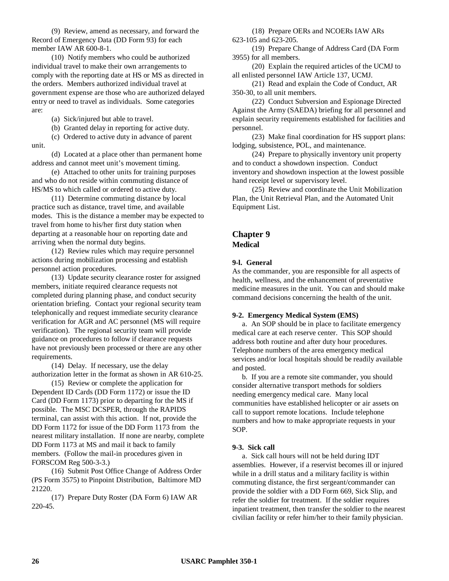(9) Review, amend as necessary, and forward the Record of Emergency Data (DD Form 93) for each member IAW AR 600-8-1.

(10) Notify members who could be authorized individual travel to make their own arrangements to comply with the reporting date at HS or MS as directed in the orders. Members authorized individual travel at government expense are those who are authorized delayed entry or need to travel as individuals. Some categories are:

(a) Sick/injured but able to travel.

(b) Granted delay in reporting for active duty.

(c) Ordered to active duty in advance of parent unit.

(d) Located at a place other than permanent home address and cannot meet unit's movement timing.

(e) Attached to other units for training purposes and who do not reside within commuting distance of HS/MS to which called or ordered to active duty.

(11) Determine commuting distance by local practice such as distance, travel time, and available modes. This is the distance a member may be expected to travel from home to his/her first duty station when departing at a reasonable hour on reporting date and arriving when the normal duty begins.

(12) Review rules which may require personnel actions during mobilization processing and establish personnel action procedures.

(13) Update security clearance roster for assigned members, initiate required clearance requests not completed during planning phase, and conduct security orientation briefing. Contact your regional security team telephonically and request immediate security clearance verification for AGR and AC personnel (MS will require verification). The regional security team will provide guidance on procedures to follow if clearance requests have not previously been processed or there are any other requirements.

(14) Delay. If necessary, use the delay authorization letter in the format as shown in AR 610-25.

(15) Review or complete the application for Dependent ID Cards (DD Form 1172) or issue the ID Card (DD Form 1173) prior to departing for the MS if possible. The MSC DCSPER, through the RAPIDS terminal, can assist with this action. If not, provide the DD Form 1172 for issue of the DD Form 1173 from the nearest military installation. If none are nearby, complete DD Form 1173 at MS and mail it back to family members. (Follow the mail-in procedures given in FORSCOM Reg 500-3-3.)

(16) Submit Post Office Change of Address Order (PS Form 3575) to Pinpoint Distribution, Baltimore MD 21220.

(17) Prepare Duty Roster (DA Form 6) IAW AR 220-45.

(18) Prepare OERs and NCOERs IAW ARs 623-105 and 623-205.

(19) Prepare Change of Address Card (DA Form 3955) for all members.

(20) Explain the required articles of the UCMJ to all enlisted personnel IAW Article 137, UCMJ.

(21) Read and explain the Code of Conduct, AR 350-30, to all unit members.

(22) Conduct Subversion and Espionage Directed Against the Army (SAEDA) briefing for all personnel and explain security requirements established for facilities and personnel.

(23) Make final coordination for HS support plans: lodging, subsistence, POL, and maintenance.

(24) Prepare to physically inventory unit property and to conduct a showdown inspection. Conduct inventory and showdown inspection at the lowest possible hand receipt level or supervisory level.

(25) Review and coordinate the Unit Mobilization Plan, the Unit Retrieval Plan, and the Automated Unit Equipment List.

# **Chapter 9 Medical**

### **9-l. General**

As the commander, you are responsible for all aspects of health, wellness, and the enhancement of preventative medicine measures in the unit. You can and should make command decisions concerning the health of the unit.

#### **9-2. Emergency Medical System (EMS)**

a. An SOP should be in place to facilitate emergency medical care at each reserve center. This SOP should address both routine and after duty hour procedures. Telephone numbers of the area emergency medical services and/or local hospitals should be readily available and posted.

b. If you are a remote site commander, you should consider alternative transport methods for soldiers needing emergency medical care. Many local communities have established helicopter or air assets on call to support remote locations. Include telephone numbers and how to make appropriate requests in your SOP.

### **9-3. Sick call**

a. Sick call hours will not be held during IDT assemblies. However, if a reservist becomes ill or injured while in a drill status and a military facility is within commuting distance, the first sergeant/commander can provide the soldier with a DD Form 669, Sick Slip, and refer the soldier for treatment. If the soldier requires inpatient treatment, then transfer the soldier to the nearest civilian facility or refer him/her to their family physician.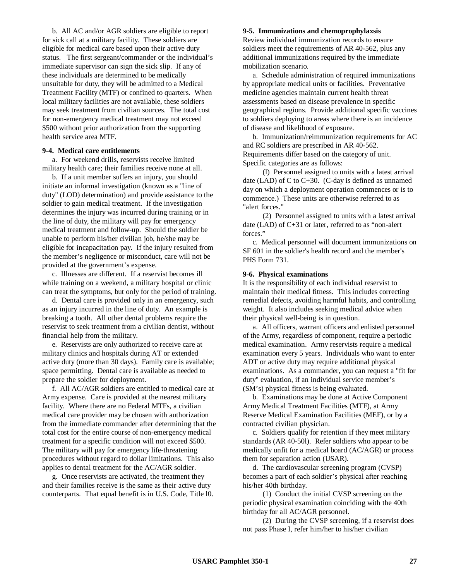b. All AC and/or AGR soldiers are eligible to report for sick call at a military facility. These soldiers are eligible for medical care based upon their active duty status. The first sergeant/commander or the individual's immediate supervisor can sign the sick slip. If any of these individuals are determined to be medically unsuitable for duty, they will be admitted to a Medical Treatment Facility (MTF) or confined to quarters. When local military facilities are not available, these soldiers may seek treatment from civilian sources. The total cost for non-emergency medical treatment may not exceed \$500 without prior authorization from the supporting health service area MTF.

#### **9-4. Medical care entitlements**

a. For weekend drills, reservists receive limited military health care; their families receive none at all.

b. If a unit member suffers an injury, you should initiate an informal investigation (known as a "line of duty" (LOD) determination) and provide assistance to the soldier to gain medical treatment. If the investigation determines the injury was incurred during training or in the line of duty, the military will pay for emergency medical treatment and follow-up. Should the soldier be unable to perform his/her civilian job, he/she may be eligible for incapacitation pay. If the injury resulted from the member's negligence or misconduct, care will not be provided at the government's expense.

c. Illnesses are different. If a reservist becomes ill while training on a weekend, a military hospital or clinic can treat the symptoms, but only for the period of training.

d. Dental care is provided only in an emergency, such as an injury incurred in the line of duty. An example is breaking a tooth. All other dental problems require the reservist to seek treatment from a civilian dentist, without financial help from the military.

e. Reservists are only authorized to receive care at military clinics and hospitals during AT or extended active duty (more than 30 days). Family care is available; space permitting. Dental care is available as needed to prepare the soldier for deployment.

f. All AC/AGR soldiers are entitled to medical care at Army expense. Care is provided at the nearest military facility. Where there are no Federal MTFs, a civilian medical care provider may be chosen with authorization from the immediate commander after determining that the total cost for the entire course of non-emergency medical treatment for a specific condition will not exceed \$500. The military will pay for emergency life-threatening procedures without regard to dollar limitations. This also applies to dental treatment for the AC/AGR soldier.

g. Once reservists are activated, the treatment they and their families receive is the same as their active duty counterparts. That equal benefit is in U.S. Code, Title l0.

#### **9-5. Immunizations and chemoprophylaxsis**

Review individual immunization records to ensure soldiers meet the requirements of AR 40-562, plus any additional immunizations required by the immediate mobilization scenario.

a. Schedule administration of required immunizations by appropriate medical units or facilities. Preventative medicine agencies maintain current health threat assessments based on disease prevalence in specific geographical regions. Provide additional specific vaccines to soldiers deploying to areas where there is an incidence of disease and likelihood of exposure.

b. Immunization/reimmunization requirements for AC and RC soldiers are prescribed in AR 40-562. Requirements differ based on the category of unit. Specific categories are as follows:

(l) Personnel assigned to units with a latest arrival date (LAD) of C to C+30. (C-day is defined as unnamed day on which a deployment operation commences or is to commence.) These units are otherwise referred to as "alert forces."

(2) Personnel assigned to units with a latest arrival date (LAD) of C+31 or later, referred to as "non-alert forces."

c. Medical personnel will document immunizations on SF 601 in the soldier's health record and the member's PHS Form 731.

#### **9-6. Physical examinations**

It is the responsibility of each individual reservist to maintain their medical fitness. This includes correcting remedial defects, avoiding harmful habits, and controlling weight. It also includes seeking medical advice when their physical well-being is in question.

a. All officers, warrant officers and enlisted personnel of the Army, regardless of component, require a periodic medical examination. Army reservists require a medical examination every 5 years. Individuals who want to enter ADT or active duty may require additional physical examinations. As a commander, you can request a "fit for duty" evaluation, if an individual service member's (SM's) physical fitness is being evaluated.

b. Examinations may be done at Active Component Army Medical Treatment Facilities (MTF), at Army Reserve Medical Examination Facilities (MEF), or by a contracted civilian physician.

c. Soldiers qualify for retention if they meet military standards (AR 40-50l). Refer soldiers who appear to be medically unfit for a medical board (AC/AGR) or process them for separation action (USAR).

d. The cardiovascular screening program (CVSP) becomes a part of each soldier's physical after reaching his/her 40th birthday.

(1) Conduct the initial CVSP screening on the periodic physical examination coinciding with the 40th birthday for all AC/AGR personnel.

(2) During the CVSP screening, if a reservist does not pass Phase I, refer him/her to his/her civilian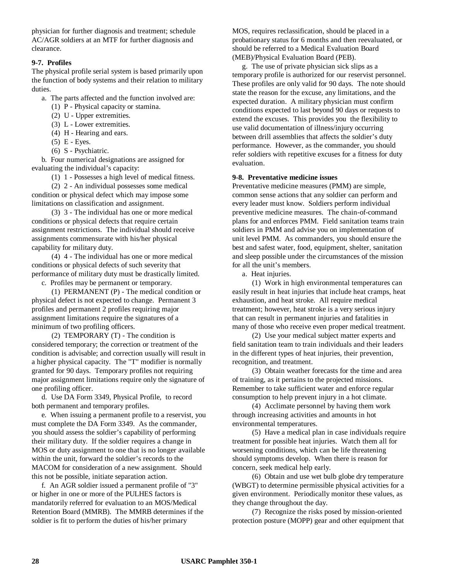physician for further diagnosis and treatment; schedule AC/AGR soldiers at an MTF for further diagnosis and clearance.

#### **9-7. Profiles**

The physical profile serial system is based primarily upon the function of body systems and their relation to military duties.

a. The parts affected and the function involved are:

- (1) P Physical capacity or stamina.
- (2) U Upper extremities.
- (3) L Lower extremities.
- (4) H Hearing and ears.
- (5) E Eyes.
- (6) S Psychiatric.

b. Four numerical designations are assigned for evaluating the individual's capacity:

(1) 1 - Possesses a high level of medical fitness.

(2) 2 - An individual possesses some medical condition or physical defect which may impose some limitations on classification and assignment.

(3) 3 - The individual has one or more medical conditions or physical defects that require certain assignment restrictions. The individual should receive assignments commensurate with his/her physical capability for military duty.

(4) 4 - The individual has one or more medical conditions or physical defects of such severity that performance of military duty must be drastically limited.

c. Profiles may be permanent or temporary.

(1) PERMANENT (P) - The medical condition or physical defect is not expected to change. Permanent 3 profiles and permanent 2 profiles requiring major assignment limitations require the signatures of a minimum of two profiling officers.

(2) TEMPORARY (T) - The condition is considered temporary; the correction or treatment of the condition is advisable; and correction usually will result in a higher physical capacity. The "T" modifier is normally granted for 90 days. Temporary profiles not requiring major assignment limitations require only the signature of one profiling officer.

d. Use DA Form 3349, Physical Profile, to record both permanent and temporary profiles.

e. When issuing a permanent profile to a reservist, you must complete the DA Form 3349. As the commander, you should assess the soldier's capability of performing their military duty. If the soldier requires a change in MOS or duty assignment to one that is no longer available within the unit, forward the soldier's records to the MACOM for consideration of a new assignment. Should this not be possible, initiate separation action.

f. An AGR soldier issued a permanent profile of "3" or higher in one or more of the PULHES factors is mandatorily referred for evaluation to an MOS/Medical Retention Board (MMRB). The MMRB determines if the soldier is fit to perform the duties of his/her primary

MOS, requires reclassification, should be placed in a probationary status for 6 months and then reevaluated, or should be referred to a Medical Evaluation Board (MEB)/Physical Evaluation Board (PEB).

g. The use of private physician sick slips as a temporary profile is authorized for our reservist personnel. These profiles are only valid for 90 days. The note should state the reason for the excuse, any limitations, and the expected duration. A military physician must confirm conditions expected to last beyond 90 days or requests to extend the excuses. This provides you the flexibility to use valid documentation of illness/injury occurring between drill assemblies that affects the soldier's duty performance. However, as the commander, you should refer soldiers with repetitive excuses for a fitness for duty evaluation.

# **9-8. Preventative medicine issues**

Preventative medicine measures (PMM) are simple, common sense actions that any soldier can perform and every leader must know. Soldiers perform individual preventive medicine measures. The chain-of-command plans for and enforces PMM. Field sanitation teams train soldiers in PMM and advise you on implementation of unit level PMM. As commanders, you should ensure the best and safest water, food, equipment, shelter, sanitation and sleep possible under the circumstances of the mission for all the unit's members.

a. Heat injuries.

(1) Work in high environmental temperatures can easily result in heat injuries that include heat cramps, heat exhaustion, and heat stroke. All require medical treatment; however, heat stroke is a very serious injury that can result in permanent injuries and fatalities in many of those who receive even proper medical treatment.

(2) Use your medical subject matter experts and field sanitation team to train individuals and their leaders in the different types of heat injuries, their prevention, recognition, and treatment.

(3) Obtain weather forecasts for the time and area of training, as it pertains to the projected missions. Remember to take sufficient water and enforce regular consumption to help prevent injury in a hot climate.

(4) Acclimate personnel by having them work through increasing activities and amounts in hot environmental temperatures.

(5) Have a medical plan in case individuals require treatment for possible heat injuries. Watch them all for worsening conditions, which can be life threatening should symptoms develop. When there is reason for concern, seek medical help early.

(6) Obtain and use wet bulb globe dry temperature (WBGT) to determine permissible physical activities for a given environment. Periodically monitor these values, as they change throughout the day.

(7) Recognize the risks posed by mission-oriented protection posture (MOPP) gear and other equipment that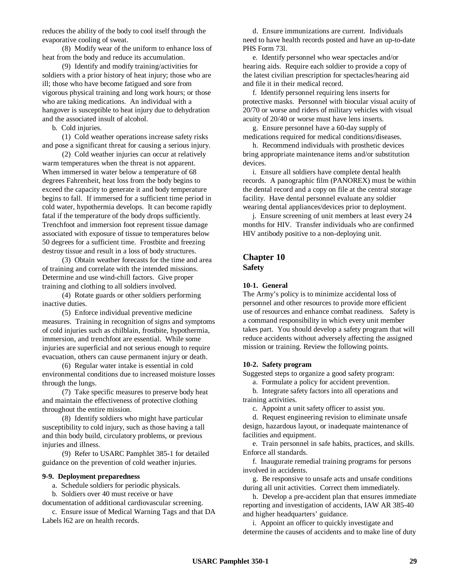reduces the ability of the body to cool itself through the evaporative cooling of sweat.

(8) Modify wear of the uniform to enhance loss of heat from the body and reduce its accumulation.

(9) Identify and modify training/activities for soldiers with a prior history of heat injury; those who are ill; those who have become fatigued and sore from vigorous physical training and long work hours; or those who are taking medications. An individual with a hangover is susceptible to heat injury due to dehydration and the associated insult of alcohol.

b. Cold injuries.

(1) Cold weather operations increase safety risks and pose a significant threat for causing a serious injury.

(2) Cold weather injuries can occur at relatively warm temperatures when the threat is not apparent. When immersed in water below a temperature of 68 degrees Fahrenheit, heat loss from the body begins to exceed the capacity to generate it and body temperature begins to fall. If immersed for a sufficient time period in cold water, hypothermia develops. It can become rapidly fatal if the temperature of the body drops sufficiently. Trenchfoot and immersion foot represent tissue damage associated with exposure of tissue to temperatures below 50 degrees for a sufficient time. Frostbite and freezing destroy tissue and result in a loss of body structures.

(3) Obtain weather forecasts for the time and area of training and correlate with the intended missions. Determine and use wind-chill factors. Give proper training and clothing to all soldiers involved.

(4) Rotate guards or other soldiers performing inactive duties.

(5) Enforce individual preventive medicine measures. Training in recognition of signs and symptoms of cold injuries such as chilblain, frostbite, hypothermia, immersion, and trenchfoot are essential. While some injuries are superficial and not serious enough to require evacuation, others can cause permanent injury or death.

(6) Regular water intake is essential in cold environmental conditions due to increased moisture losses through the lungs.

(7) Take specific measures to preserve body heat and maintain the effectiveness of protective clothing throughout the entire mission.

(8) Identify soldiers who might have particular susceptibility to cold injury, such as those having a tall and thin body build, circulatory problems, or previous injuries and illness.

(9) Refer to USARC Pamphlet 385-1 for detailed guidance on the prevention of cold weather injuries.

#### **9-9. Deployment preparedness**

a. Schedule soldiers for periodic physicals.

b. Soldiers over 40 must receive or have

documentation of additional cardiovascular screening. c. Ensure issue of Medical Warning Tags and that DA

Labels l62 are on health records.

d. Ensure immunizations are current. Individuals need to have health records posted and have an up-to-date PHS Form 73l.

e. Identify personnel who wear spectacles and/or hearing aids. Require each soldier to provide a copy of the latest civilian prescription for spectacles/hearing aid and file it in their medical record.

f. Identify personnel requiring lens inserts for protective masks. Personnel with biocular visual acuity of 20/70 or worse and riders of military vehicles with visual acuity of 20/40 or worse must have lens inserts.

g. Ensure personnel have a 60-day supply of medications required for medical conditions/diseases.

h. Recommend individuals with prosthetic devices bring appropriate maintenance items and/or substitution devices.

i. Ensure all soldiers have complete dental health records. A panographic film (PANOREX) must be within the dental record and a copy on file at the central storage facility. Have dental personnel evaluate any soldier wearing dental appliances/devices prior to deployment.

j. Ensure screening of unit members at least every 24 months for HIV. Transfer individuals who are confirmed HIV antibody positive to a non-deploying unit.

# **Chapter 10 Safety**

#### **10-1. General**

The Army's policy is to minimize accidental loss of personnel and other resources to provide more efficient use of resources and enhance combat readiness. Safety is a command responsibility in which every unit member takes part. You should develop a safety program that will reduce accidents without adversely affecting the assigned mission or training. Review the following points.

#### **10-2. Safety program**

Suggested steps to organize a good safety program:

a. Formulate a policy for accident prevention.

b. Integrate safety factors into all operations and training activities.

c. Appoint a unit safety officer to assist you.

d. Request engineering revision to eliminate unsafe design, hazardous layout, or inadequate maintenance of facilities and equipment.

e. Train personnel in safe habits, practices, and skills. Enforce all standards.

f. Inaugurate remedial training programs for persons involved in accidents.

g. Be responsive to unsafe acts and unsafe conditions during all unit activities. Correct them immediately.

h. Develop a pre-accident plan that ensures immediate reporting and investigation of accidents, IAW AR 385-40 and higher headquarters' guidance.

i. Appoint an officer to quickly investigate and determine the causes of accidents and to make line of duty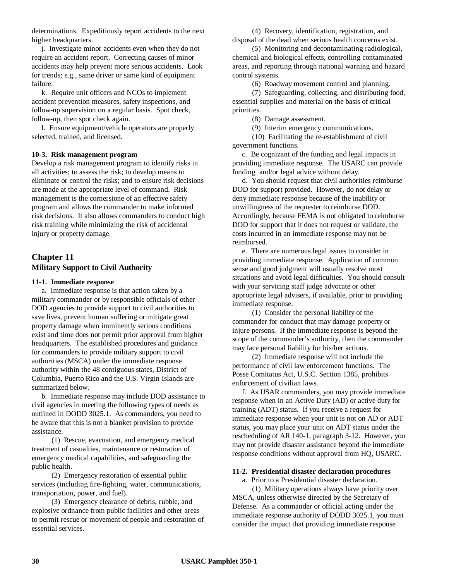determinations. Expeditiously report accidents to the next higher headquarters.

j. Investigate minor accidents even when they do not require an accident report. Correcting causes of minor accidents may help prevent more serious accidents. Look for trends; e.g., same driver or same kind of equipment failure.

k. Require unit officers and NCOs to implement accident prevention measures, safety inspections, and follow-up supervision on a regular basis. Spot check, follow-up, then spot check again.

l. Ensure equipment/vehicle operators are properly selected, trained, and licensed.

#### **10-3. Risk management program**

Develop a risk management program to identify risks in all activities; to assess the risk; to develop means to eliminate or control the risks; and to ensure risk decisions are made at the appropriate level of command. Risk management is the cornerstone of an effective safety program and allows the commander to make informed risk decisions. It also allows commanders to conduct high risk training while minimizing the risk of accidental injury or property damage.

# **Chapter 11 Military Support to Civil Authority**

#### **11-1. Immediate response**

a. Immediate response is that action taken by a military commander or by responsible officials of other DOD agencies to provide support to civil authorities to save lives, prevent human suffering or mitigate great property damage when imminently serious conditions exist and time does not permit prior approval from higher headquarters. The established procedures and guidance for commanders to provide military support to civil authorities (MSCA) under the immediate response authority within the 48 contiguous states, District of Columbia, Puerto Rico and the U.S. Virgin Islands are summarized below.

b. Immediate response may include DOD assistance to civil agencies in meeting the following types of needs as outlined in DODD 3025.1. As commanders, you need to be aware that this is not a blanket provision to provide assistance.

(1) Rescue, evacuation, and emergency medical treatment of casualties, maintenance or restoration of emergency medical capabilities, and safeguarding the public health.

(2) Emergency restoration of essential public services (including fire-fighting, water, communications, transportation, power, and fuel).

(3) Emergency clearance of debris, rubble, and explosive ordnance from public facilities and other areas to permit rescue or movement of people and restoration of essential services.

(4) Recovery, identification, registration, and disposal of the dead when serious health concerns exist.

(5) Monitoring and decontaminating radiological, chemical and biological effects, controlling contaminated areas, and reporting through national warning and hazard control systems.

(6) Roadway movement control and planning.

(7) Safeguarding, collecting, and distributing food, essential supplies and material on the basis of critical priorities.

(8) Damage assessment.

(9) Interim emergency communications.

(10) Facilitating the re-establishment of civil government functions.

c. Be cognizant of the funding and legal impacts in providing immediate response. The USARC can provide funding and/or legal advice without delay.

d. You should request that civil authorities reimburse DOD for support provided. However, do not delay or deny immediate response because of the inability or unwillingness of the requester to reimburse DOD. Accordingly, because FEMA is not obligated to reimburse DOD for support that it does not request or validate, the costs incurred in an immediate response may not be reimbursed.

e. There are numerous legal issues to consider in providing immediate response. Application of common sense and good judgment will usually resolve most situations and avoid legal difficulties. You should consult with your servicing staff judge advocate or other appropriate legal advisers, if available, prior to providing immediate response.

(1) Consider the personal liability of the commander for conduct that may damage property or injure persons. If the immediate response is beyond the scope of the commander's authority, then the commander may face personal liability for his/her actions.

(2) Immediate response will not include the performance of civil law enforcement functions. The Posse Comitatus Act, U.S.C. Section 1385, prohibits enforcement of civilian laws.

f. As USAR commanders, you may provide immediate response when in an Active Duty (AD) or active duty for training (ADT) status. If you receive a request for immediate response when your unit is not on AD or ADT status, you may place your unit on ADT status under the rescheduling of AR 140-1, paragraph 3-12. However, you may not provide disaster assistance beyond the immediate response conditions without approval from HQ, USARC.

#### **11-2. Presidential disaster declaration procedures**

a. Prior to a Presidential disaster declaration.

(1) Military operations always have priority over MSCA, unless otherwise directed by the Secretary of Defense. As a commander or official acting under the immediate response authority of DODD 3025.1, you must consider the impact that providing immediate response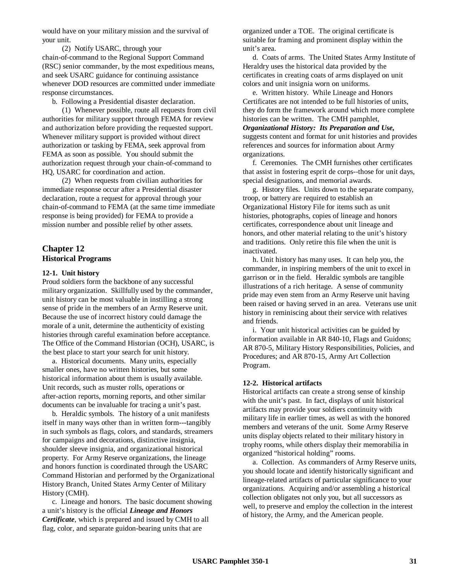would have on your military mission and the survival of your unit.

(2) Notify USARC, through your chain-of-command to the Regional Support Command (RSC) senior commander, by the most expeditious means, and seek USARC guidance for continuing assistance whenever DOD resources are committed under immediate response circumstances.

b. Following a Presidential disaster declaration.

(1) Whenever possible, route all requests from civil authorities for military support through FEMA for review and authorization before providing the requested support. Whenever military support is provided without direct authorization or tasking by FEMA, seek approval from FEMA as soon as possible. You should submit the authorization request through your chain-of-command to HQ, USARC for coordination and action.

(2) When requests from civilian authorities for immediate response occur after a Presidential disaster declaration, route a request for approval through your chain-of-command to FEMA (at the same time immediate response is being provided) for FEMA to provide a mission number and possible relief by other assets.

# **Chapter 12 Historical Programs**

#### **12-1. Unit history**

Proud soldiers form the backbone of any successful military organization. Skillfully used by the commander, unit history can be most valuable in instilling a strong sense of pride in the members of an Army Reserve unit. Because the use of incorrect history could damage the morale of a unit, determine the authenticity of existing histories through careful examination before acceptance. The Office of the Command Historian (OCH), USARC, is the best place to start your search for unit history.

a. Historical documents. Many units, especially smaller ones, have no written histories, but some historical information about them is usually available. Unit records, such as muster rolls, operations or after-action reports, morning reports, and other similar documents can be invaluable for tracing a unit's past.

b. Heraldic symbols. The history of a unit manifests itself in many ways other than in written form---tangibly in such symbols as flags, colors, and standards, streamers for campaigns and decorations, distinctive insignia, shoulder sleeve insignia, and organizational historical property. For Army Reserve organizations, the lineage and honors function is coordinated through the USARC Command Historian and performed by the Organizational History Branch, United States Army Center of Military History (CMH).

c. Lineage and honors. The basic document showing a unit's history is the official *Lineage and Honors Certificate*, which is prepared and issued by CMH to all flag, color, and separate guidon-bearing units that are

organized under a TOE. The original certificate is suitable for framing and prominent display within the unit's area.

d. Coats of arms. The United States Army Institute of Heraldry uses the historical data provided by the certificates in creating coats of arms displayed on unit colors and unit insignia worn on uniforms.

e. Written history. While Lineage and Honors Certificates are not intended to be full histories of units, they do form the framework around which more complete histories can be written. The CMH pamphlet, *Organizational History: Its Preparation and Use,* suggests content and format for unit histories and provides references and sources for information about Army organizations.

f. Ceremonies. The CMH furnishes other certificates that assist in fostering esprit de corps--those for unit days, special designations, and memorial awards.

g. History files. Units down to the separate company, troop, or battery are required to establish an Organizational History File for items such as unit histories, photographs, copies of lineage and honors certificates, correspondence about unit lineage and honors, and other material relating to the unit's history and traditions. Only retire this file when the unit is inactivated.

h. Unit history has many uses. It can help you, the commander, in inspiring members of the unit to excel in garrison or in the field. Heraldic symbols are tangible illustrations of a rich heritage. A sense of community pride may even stem from an Army Reserve unit having been raised or having served in an area. Veterans use unit history in reminiscing about their service with relatives and friends.

i. Your unit historical activities can be guided by information available in AR 840-10, Flags and Guidons; AR 870-5, Military History Responsibilities, Policies, and Procedures; and AR 870-15, Army Art Collection Program.

### **12-2. Historical artifacts**

Historical artifacts can create a strong sense of kinship with the unit's past. In fact, displays of unit historical artifacts may provide your soldiers continuity with military life in earlier times, as well as with the honored members and veterans of the unit. Some Army Reserve units display objects related to their military history in trophy rooms, while others display their memorabilia in organized "historical holding" rooms.

a. Collection. As commanders of Army Reserve units, you should locate and identify historically significant and lineage-related artifacts of particular significance to your organizations. Acquiring and/or assembling a historical collection obligates not only you, but all successors as well, to preserve and employ the collection in the interest of history, the Army, and the American people.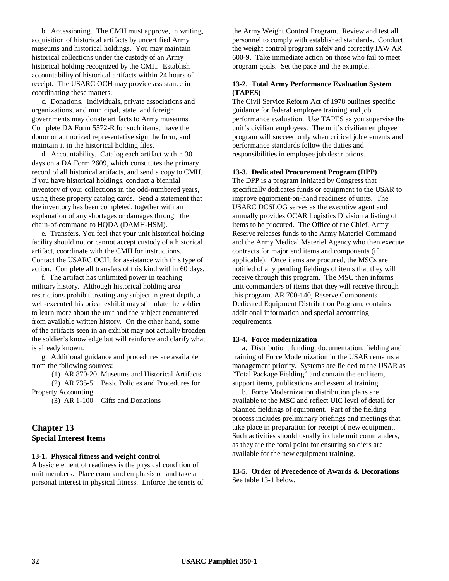b. Accessioning. The CMH must approve, in writing, acquisition of historical artifacts by uncertified Army museums and historical holdings. You may maintain historical collections under the custody of an Army historical holding recognized by the CMH. Establish accountability of historical artifacts within 24 hours of receipt. The USARC OCH may provide assistance in coordinating these matters.

c. Donations. Individuals, private associations and organizations, and municipal, state, and foreign governments may donate artifacts to Army museums. Complete DA Form 5572-R for such items, have the donor or authorized representative sign the form, and maintain it in the historical holding files.

d. Accountability. Catalog each artifact within 30 days on a DA Form 2609, which constitutes the primary record of all historical artifacts, and send a copy to CMH. If you have historical holdings, conduct a biennial inventory of your collections in the odd-numbered years, using these property catalog cards. Send a statement that the inventory has been completed, together with an explanation of any shortages or damages through the chain-of-command to HQDA (DAMH-HSM).

e. Transfers. You feel that your unit historical holding facility should not or cannot accept custody of a historical artifact, coordinate with the CMH for instructions. Contact the USARC OCH, for assistance with this type of action. Complete all transfers of this kind within 60 days.

f. The artifact has unlimited power in teaching military history. Although historical holding area restrictions prohibit treating any subject in great depth, a well-executed historical exhibit may stimulate the soldier to learn more about the unit and the subject encountered from available written history. On the other hand, some of the artifacts seen in an exhibit may not actually broaden the soldier's knowledge but will reinforce and clarify what is already known.

g. Additional guidance and procedures are available from the following sources:

(1) AR 870-20 Museums and Historical Artifacts (2) AR 735-5 Basic Policies and Procedures for Property Accounting

(3) AR 1-100 Gifts and Donations

# **Chapter 13 Special Interest Items**

#### **13-1. Physical fitness and weight control**

A basic element of readiness is the physical condition of unit members. Place command emphasis on and take a personal interest in physical fitness. Enforce the tenets of the Army Weight Control Program. Review and test all personnel to comply with established standards. Conduct the weight control program safely and correctly IAW AR 600-9. Take immediate action on those who fail to meet program goals. Set the pace and the example.

### **13-2. Total Army Performance Evaluation System (TAPES)**

The Civil Service Reform Act of 1978 outlines specific guidance for federal employee training and job performance evaluation. Use TAPES as you supervise the unit's civilian employees. The unit's civilian employee program will succeed only when critical job elements and performance standards follow the duties and responsibilities in employee job descriptions.

#### **13-3. Dedicated Procurement Program (DPP)**

The DPP is a program initiated by Congress that specifically dedicates funds or equipment to the USAR to improve equipment-on-hand readiness of units. The USARC DCSLOG serves as the executive agent and annually provides OCAR Logistics Division a listing of items to be procured. The Office of the Chief, Army Reserve releases funds to the Army Materiel Command and the Army Medical Materiel Agency who then execute contracts for major end items and components (if applicable). Once items are procured, the MSCs are notified of any pending fieldings of items that they will receive through this program. The MSC then informs unit commanders of items that they will receive through this program. AR 700-140, Reserve Components Dedicated Equipment Distribution Program, contains additional information and special accounting requirements.

#### **13-4. Force modernization**

a. Distribution, funding, documentation, fielding and training of Force Modernization in the USAR remains a management priority. Systems are fielded to the USAR as "Total Package Fielding" and contain the end item, support items, publications and essential training.

b. Force Modernization distribution plans are available to the MSC and reflect UIC level of detail for planned fieldings of equipment. Part of the fielding process includes preliminary briefings and meetings that take place in preparation for receipt of new equipment. Such activities should usually include unit commanders, as they are the focal point for ensuring soldiers are available for the new equipment training.

### **13-5. Order of Precedence of Awards & Decorations** See table 13-1 below.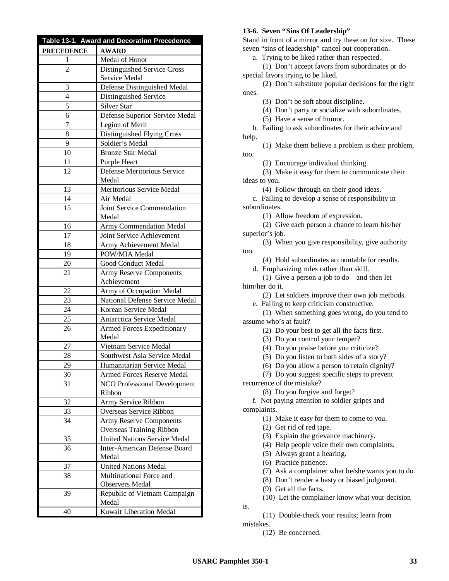| Table 13-1. Award and Decoration Precedence |                                              |  |
|---------------------------------------------|----------------------------------------------|--|
| <b>PRECEDENCE</b>                           | <b>AWARD</b>                                 |  |
| 1                                           | Medal of Honor                               |  |
| 2                                           | Distinguished Service Cross                  |  |
|                                             | Service Medal                                |  |
| 3                                           | Defense Distinguished Medal                  |  |
| 4                                           | Distinguished Service                        |  |
| 5                                           | Silver Star                                  |  |
| 6                                           | Defense Superior Service Medal               |  |
| 7                                           | Legion of Merit                              |  |
| 8                                           | Distinguished Flying Cross                   |  |
| 9                                           | Soldier's Medal                              |  |
| 10                                          | <b>Bronze Star Medal</b>                     |  |
| 11                                          | Purple Heart                                 |  |
| 12                                          | Defense Meritorious Service                  |  |
|                                             | Medal                                        |  |
| 13                                          | Meritorious Service Medal                    |  |
| 14                                          | Air Medal                                    |  |
| 15                                          | Joint Service Commendation                   |  |
|                                             | Medal                                        |  |
| 16                                          | Army Commendation Medal                      |  |
| 17                                          | Joint Service Achievement                    |  |
| 18                                          | Army Achievement Medal                       |  |
| 19                                          | POW/MIA Medal                                |  |
| 20                                          | Good Conduct Medal                           |  |
| 21                                          | <b>Army Reserve Components</b>               |  |
|                                             | Achievement                                  |  |
| 22                                          | Army of Occupation Medal                     |  |
| 23                                          | National Defense Service Medal               |  |
| 24                                          | Korean Service Medal                         |  |
| 25                                          | Antarctica Service Medal                     |  |
| 26                                          | Armed Forces Expeditionary<br>Medal          |  |
| 27                                          | Vietnam Service Medal                        |  |
| 28                                          | Southwest Asia Service Medal                 |  |
| 29                                          | Humanitarian Service Medal                   |  |
| 30                                          | Armed Forces Reserve Medal                   |  |
| 31                                          | <b>NCO Professional Development</b>          |  |
|                                             | Ribbon                                       |  |
| 32                                          | Army Service Ribbon                          |  |
| 33                                          | Overseas Service Ribbon                      |  |
| 34                                          | <b>Army Reserve Components</b>               |  |
|                                             | Overseas Training Ribbon                     |  |
| 35                                          | <b>United Nations Service Medal</b>          |  |
| 36                                          | <b>Inter-American Defense Board</b><br>Medal |  |
| 37                                          | <b>United Nations Medal</b>                  |  |
| 38                                          | Multinational Force and                      |  |
|                                             | <b>Observers Medal</b>                       |  |
| 39                                          | Republic of Vietnam Campaign<br>Medal        |  |
| 40                                          | Kuwait Liberation Medal                      |  |
|                                             |                                              |  |

#### **13-6. Seven "Sins Of Leadership"**

Stand in front of a mirror and try these on for size. These seven "sins of leadership" cancel out cooperation.

a. Trying to be liked rather than respected.

(1) Don't accept favors from subordinates or do special favors trying to be liked.

(2) Don't substitute popular decisions for the right ones.

(3) Don't be soft about discipline.

(4) Don't party or socialize with subordinates.

(5) Have a sense of humor.

too.

b. Failing to ask subordinates for their advice and help.

(1) Make them believe a problem is their problem,

(2) Encourage individual thinking.

(3) Make it easy for them to communicate their ideas to you.

(4) Follow through on their good ideas.

c. Failing to develop a sense of responsibility in subordinates.

(1) Allow freedom of expression.

(2) Give each person a chance to learn his/her superior's job.

(3) When you give responsibility, give authority too.

(4) Hold subordinates accountable for results.

d. Emphasizing rules rather than skill.

(1) Give a person a job to do— and then let him/her do it.

(2) Let soldiers improve their own job methods.

e. Failing to keep criticism constructive.

(1) When something goes wrong, do you tend to assume who's at fault?

(2) Do your best to get all the facts first.

(3) Do you control your temper?

(4) Do you praise before you criticize?

(5) Do you listen to both sides of a story?

(6) Do you allow a person to retain dignity?

(7) Do you suggest specific steps to prevent

recurrence of the mistake?

(8) Do you forgive and forget?

f. Not paying attention to soldier gripes and complaints.

- (1) Make it easy for them to come to you.
- (2) Get rid of red tape.

(3) Explain the grievance machinery.

(4) Help people voice their own complaints.

(5) Always grant a hearing.

(6) Practice patience.

(7) Ask a complainer what he/she wants you to do.

(8) Don't render a hasty or biased judgment.

(9) Get all the facts.

(10) Let the complainer know what your decision

is.

(11) Double-check your results; learn from mistakes.

(12) Be concerned.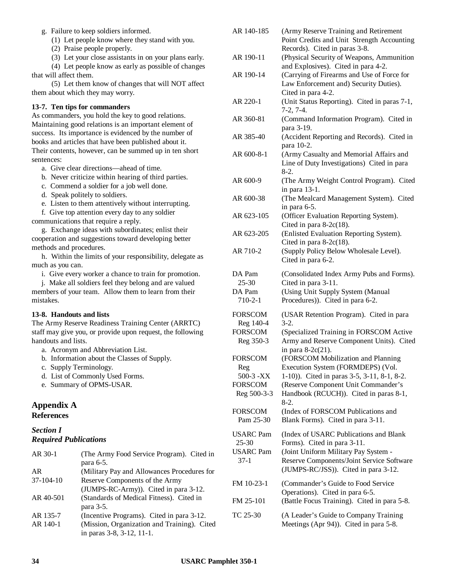g. Failure to keep soldiers informed.

(1) Let people know where they stand with you.

(2) Praise people properly.

(3) Let your close assistants in on your plans early.

(4) Let people know as early as possible of changes that will affect them.

(5) Let them know of changes that will NOT affect them about which they may worry.

### **13-7. Ten tips for commanders**

As commanders, you hold the key to good relations. Maintaining good relations is an important element of success. Its importance is evidenced by the number of books and articles that have been published about it. Their contents, however, can be summed up in ten short sentences:

a. Give clear directions— ahead of time.

b. Never criticize within hearing of third parties.

c. Commend a soldier for a job well done.

d. Speak politely to soldiers.

e. Listen to them attentively without interrupting.

f. Give top attention every day to any soldier

communications that require a reply.

g. Exchange ideas with subordinates; enlist their cooperation and suggestions toward developing better methods and procedures.

h. Within the limits of your responsibility, delegate as much as you can.

i. Give every worker a chance to train for promotion.

j. Make all soldiers feel they belong and are valued members of your team. Allow them to learn from their mistakes.

# **13-8. Handouts and lists**

The Army Reserve Readiness Training Center (ARRTC) staff may give you, or provide upon request, the following handouts and lists.

- a. Acronym and Abbreviation List.
- b. Information about the Classes of Supply.
- c. Supply Terminology.
- d. List of Commonly Used Forms.
- e. Summary of OPMS-USAR.

# **Appendix A References**

# *Section I Required Publications*

| (The Army Food Service Program). Cited in   |
|---------------------------------------------|
| para 6-5.                                   |
| (Military Pay and Allowances Procedures for |
| Reserve Components of the Army              |
| (JUMPS-RC-Army)). Cited in para 3-12.       |
| (Standards of Medical Fitness). Cited in    |
| para 3-5.                                   |
| (Incentive Programs). Cited in para 3-12.   |
| (Mission, Organization and Training). Cited |
| in paras 3-8, 3-12, 11-1.                   |
|                                             |

| AR 140-185                                                                                                                 | (Army Reserve Training and Retirement<br>Point Credits and Unit Strength Accounting<br>Records). Cited in paras 3-8.                                                                                                                                                                                                                                                        |
|----------------------------------------------------------------------------------------------------------------------------|-----------------------------------------------------------------------------------------------------------------------------------------------------------------------------------------------------------------------------------------------------------------------------------------------------------------------------------------------------------------------------|
| AR 190-11                                                                                                                  | (Physical Security of Weapons, Ammunition                                                                                                                                                                                                                                                                                                                                   |
| AR 190-14                                                                                                                  | and Explosives). Cited in para 4-2.<br>(Carrying of Firearms and Use of Force for<br>Law Enforcement and) Security Duties).<br>Cited in para 4-2.                                                                                                                                                                                                                           |
| AR 220-1                                                                                                                   | (Unit Status Reporting). Cited in paras 7-1,<br>$7-2, 7-4.$                                                                                                                                                                                                                                                                                                                 |
| AR 360-81                                                                                                                  | (Command Information Program). Cited in<br>para 3-19.                                                                                                                                                                                                                                                                                                                       |
| AR 385-40                                                                                                                  | (Accident Reporting and Records). Cited in<br>para 10-2.                                                                                                                                                                                                                                                                                                                    |
| AR 600-8-1                                                                                                                 | (Army Casualty and Memorial Affairs and<br>Line of Duty Investigations) Cited in para<br>$8-2.$                                                                                                                                                                                                                                                                             |
| AR 600-9                                                                                                                   | (The Army Weight Control Program). Cited<br>in para 13-1.                                                                                                                                                                                                                                                                                                                   |
| AR 600-38                                                                                                                  | (The Mealcard Management System). Cited<br>in para 6-5.                                                                                                                                                                                                                                                                                                                     |
| AR 623-105                                                                                                                 | (Officer Evaluation Reporting System).<br>Cited in para $8-2c(18)$ .                                                                                                                                                                                                                                                                                                        |
| AR 623-205                                                                                                                 | (Enlisted Evaluation Reporting System).<br>Cited in para $8-2c(18)$ .                                                                                                                                                                                                                                                                                                       |
| AR 710-2                                                                                                                   | (Supply Policy Below Wholesale Level).<br>Cited in para 6-2.                                                                                                                                                                                                                                                                                                                |
| DA Pam<br>25-30<br>DA Pam<br>$710 - 2 - 1$                                                                                 | (Consolidated Index Army Pubs and Forms).<br>Cited in para 3-11.<br>(Using Unit Supply System (Manual<br>Procedures)). Cited in para 6-2.                                                                                                                                                                                                                                   |
| <b>FORSCOM</b><br>Reg 140-4<br><b>FORSCOM</b><br>Reg 350-3<br>FORSCOM<br>Reg<br>500-3 -XX<br><b>FORSCOM</b><br>Reg 500-3-3 | (USAR Retention Program). Cited in para<br>$3-2.$<br>(Specialized Training in FORSCOM Active<br>Army and Reserve Component Units). Cited<br>in para $8-2c(21)$ .<br>(FORSCOM Mobilization and Planning<br>Execution System (FORMDEPS) (Vol.<br>1-10)). Cited in paras 3-5, 3-11, 8-1, 8-2.<br>(Reserve Component Unit Commander's<br>Handbook (RCUCH)). Cited in paras 8-1, |
| <b>FORSCOM</b><br>Pam 25-30                                                                                                | $8-2.$<br>(Index of FORSCOM Publications and<br>Blank Forms). Cited in para 3-11.                                                                                                                                                                                                                                                                                           |
| <b>USARC</b> Pam<br>$25 - 30$<br><b>USARC</b> Pam<br>$37-1$                                                                | (Index of USARC Publications and Blank<br>Forms). Cited in para 3-11.<br>(Joint Uniform Military Pay System -<br>Reserve Components/Joint Service Software<br>(JUMPS-RC/JSS)). Cited in para 3-12.                                                                                                                                                                          |
| FM 10-23-1<br>FM 25-101                                                                                                    | (Commander's Guide to Food Service<br>Operations). Cited in para 6-5.<br>(Battle Focus Training). Cited in para 5-8.                                                                                                                                                                                                                                                        |
|                                                                                                                            |                                                                                                                                                                                                                                                                                                                                                                             |
| TC 25-30                                                                                                                   | (A Leader's Guide to Company Training<br>Meetings (Apr 94)). Cited in para 5-8.                                                                                                                                                                                                                                                                                             |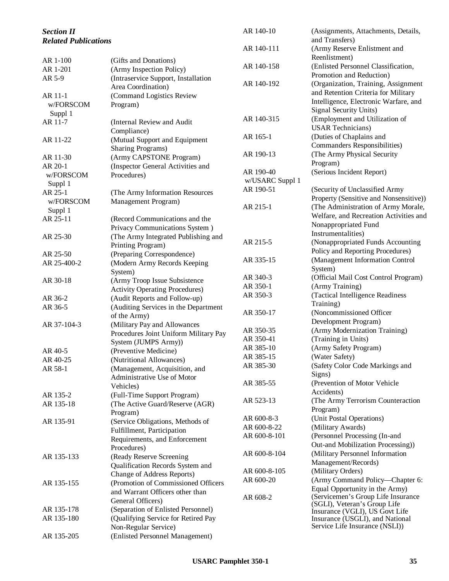| <b>Section II</b>           |                                       | AR 140-10       | (Assignments, Attachments, Details,                               |
|-----------------------------|---------------------------------------|-----------------|-------------------------------------------------------------------|
| <b>Related Publications</b> |                                       |                 | and Transfers)                                                    |
|                             |                                       | AR 140-111      | (Army Reserve Enlistment and                                      |
| AR 1-100                    | (Gifts and Donations)                 |                 | Reenlistment)                                                     |
| AR 1-201                    | (Army Inspection Policy)              | AR 140-158      | (Enlisted Personnel Classification,                               |
| AR 5-9                      | (Intraservice Support, Installation   |                 | Promotion and Reduction)                                          |
|                             | Area Coordination)                    | AR 140-192      | (Organization, Training, Assignment                               |
| AR 11-1                     | (Command Logistics Review             |                 | and Retention Criteria for Military                               |
| w/FORSCOM                   | Program)                              |                 | Intelligence, Electronic Warfare, and                             |
| Suppl 1                     |                                       |                 | Signal Security Units)                                            |
| AR 11-7                     | (Internal Review and Audit            | AR 140-315      | (Employment and Utilization of                                    |
|                             | Compliance)                           |                 | <b>USAR Technicians</b> )                                         |
| AR 11-22                    | (Mutual Support and Equipment         | AR 165-1        | (Duties of Chaplains and                                          |
|                             | <b>Sharing Programs)</b>              |                 | Commanders Responsibilities)                                      |
| AR 11-30                    | (Army CAPSTONE Program)               | AR 190-13       | (The Army Physical Security                                       |
| AR 20-1                     | (Inspector General Activities and     |                 | Program)                                                          |
| w/FORSCOM                   | Procedures)                           | AR 190-40       | (Serious Incident Report)                                         |
| Suppl 1                     |                                       | w/USARC Suppl 1 |                                                                   |
| AR 25-1                     | (The Army Information Resources       | AR 190-51       | (Security of Unclassified Army                                    |
| w/FORSCOM                   | Management Program)                   |                 | Property (Sensitive and Nonsensitive))                            |
| Suppl 1                     |                                       | AR 215-1        | (The Administration of Army Morale,                               |
| AR 25-11                    | (Record Communications and the        |                 | Welfare, and Recreation Activities and                            |
|                             | Privacy Communications System)        |                 | Nonappropriated Fund                                              |
| AR 25-30                    | (The Army Integrated Publishing and   |                 | Instrumentalities)                                                |
|                             | Printing Program)                     | AR 215-5        | (Nonappropriated Funds Accounting                                 |
| AR 25-50                    | (Preparing Correspondence)            |                 | Policy and Reporting Procedures)                                  |
| AR 25-400-2                 | (Modern Army Records Keeping          | AR 335-15       | (Management Information Control                                   |
|                             | System)                               |                 | System)                                                           |
| AR 30-18                    | (Army Troop Issue Subsistence         | AR 340-3        | (Official Mail Cost Control Program)                              |
|                             | <b>Activity Operating Procedures)</b> | AR 350-1        | (Army Training)                                                   |
| AR 36-2                     | (Audit Reports and Follow-up)         | AR 350-3        | (Tactical Intelligence Readiness                                  |
| AR 36-5                     | (Auditing Services in the Department  |                 | Training)                                                         |
|                             | of the Army)                          | AR 350-17       | (Noncommissioned Officer                                          |
| AR 37-104-3                 | (Military Pay and Allowances          |                 | Development Program)                                              |
|                             | Procedures Joint Uniform Military Pay | AR 350-35       | (Army Modernization Training)                                     |
|                             | System (JUMPS Army))                  | AR 350-41       | (Training in Units)                                               |
| AR 40-5                     | (Preventive Medicine)                 | AR 385-10       | (Army Safety Program)                                             |
| AR 40-25                    | (Nutritional Allowances)              | AR 385-15       | (Water Safety)                                                    |
| AR 58-1                     | (Management, Acquisition, and         | AR 385-30       | (Safety Color Code Markings and                                   |
|                             | Administrative Use of Motor           |                 | Signs)                                                            |
|                             | Vehicles)                             | AR 385-55       | (Prevention of Motor Vehicle                                      |
| AR 135-2                    | (Full-Time Support Program)           |                 | Accidents)                                                        |
| AR 135-18                   | (The Active Guard/Reserve (AGR)       | AR 523-13       | (The Army Terrorism Counteraction                                 |
|                             | Program)                              |                 | Program)                                                          |
| AR 135-91                   | (Service Obligations, Methods of      | AR 600-8-3      | (Unit Postal Operations)                                          |
|                             | Fulfillment, Participation            | AR 600-8-22     | (Military Awards)                                                 |
|                             | Requirements, and Enforcement         | AR 600-8-101    | (Personnel Processing (In-and                                     |
|                             | Procedures)                           |                 | Out-and Mobilization Processing))                                 |
| AR 135-133                  | (Ready Reserve Screening              | AR 600-8-104    | (Military Personnel Information                                   |
|                             | Qualification Records System and      |                 | Management/Records)                                               |
|                             | <b>Change of Address Reports)</b>     | AR 600-8-105    | (Military Orders)                                                 |
| AR 135-155                  | (Promotion of Commissioned Officers   | AR 600-20       | (Army Command Policy-Chapter 6:                                   |
|                             | and Warrant Officers other than       |                 | Equal Opportunity in the Army)                                    |
|                             | General Officers)                     | AR 608-2        | (Servicemen's Group Life Insurance                                |
| AR 135-178                  | (Separation of Enlisted Personnel)    |                 | (SGLI), Veteran's Group Life                                      |
| AR 135-180                  | (Qualifying Service for Retired Pay   |                 | Insurance (VGLI), US Govt Life<br>Insurance (USGLI), and National |
|                             | Non-Regular Service)                  |                 | Service Life Insurance (NSLI))                                    |
| AR 135-205                  | (Enlisted Personnel Management)       |                 |                                                                   |
|                             |                                       |                 |                                                                   |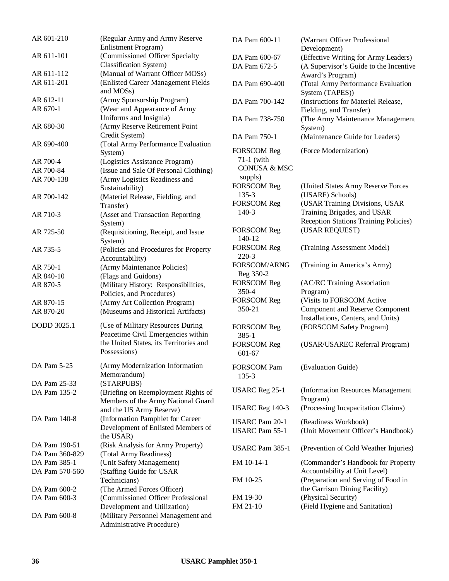| AR 601-210     | (Regular Army and Army Reserve<br>Enlistment Program)            | DA Pam              |
|----------------|------------------------------------------------------------------|---------------------|
| AR 611-101     | (Commissioned Officer Specialty<br><b>Classification System)</b> | DA Pam<br>DA Pam    |
| AR 611-112     | (Manual of Warrant Officer MOSs)                                 |                     |
| AR 611-201     | (Enlisted Career Management Fields<br>and MOSs)                  | DA Pam              |
| AR 612-11      | (Army Sponsorship Program)                                       | DA Pam <sup>7</sup> |
| AR 670-1       | (Wear and Appearance of Army                                     |                     |
|                | Uniforms and Insignia)                                           | DA Pam <sup>2</sup> |
| AR 680-30      | (Army Reserve Retirement Point<br>Credit System)                 |                     |
| AR 690-400     | (Total Army Performance Evaluation                               | DA Pam <sup>2</sup> |
|                | System)                                                          | <b>FORSCO</b>       |
| AR 700-4       | (Logistics Assistance Program)                                   | $71-1$ (w           |
| AR 700-84      | (Issue and Sale Of Personal Clothing)                            | <b>CONUS</b>        |
|                |                                                                  | suppls)             |
| AR 700-138     | (Army Logistics Readiness and                                    | <b>FORSCO</b>       |
|                | Sustainability)                                                  | $135 - 3$           |
| AR 700-142     | (Materiel Release, Fielding, and                                 |                     |
|                | Transfer)                                                        | <b>FORSCO</b>       |
| AR 710-3       | (Asset and Transaction Reporting<br>System)                      | $140-3$             |
| AR 725-50      | (Requisitioning, Receipt, and Issue                              | <b>FORSCO</b>       |
|                | System)                                                          | 140-12              |
| AR 735-5       | (Policies and Procedures for Property                            | <b>FORSCO</b>       |
|                | Accountability)                                                  | $220-3$             |
| AR 750-1       | (Army Maintenance Policies)                                      | <b>FORSCO</b>       |
| AR 840-10      | (Flags and Guidons)                                              | Reg 350             |
| AR 870-5       | (Military History: Responsibilities,                             | <b>FORSCO</b>       |
|                |                                                                  | 350-4               |
|                | Policies, and Procedures)                                        | <b>FORSCO</b>       |
| AR 870-15      | (Army Art Collection Program)                                    | 350-21              |
| AR 870-20      | (Museums and Historical Artifacts)                               |                     |
| DODD 3025.1    | (Use of Military Resources During                                | <b>FORSCO</b>       |
|                | Peacetime Civil Emergencies within                               | $385 - 1$           |
|                | the United States, its Territories and                           | <b>FORSCO</b>       |
|                | Possessions)                                                     | 601-67              |
|                |                                                                  |                     |
| DA Pam 5-25    | (Army Modernization Information                                  | <b>FORSCO</b>       |
|                | Memorandum)                                                      | $135 - 3$           |
| DA Pam 25-33   | (STARPUBS)                                                       | <b>USARCF</b>       |
| DA Pam 135-2   | (Briefing on Reemployment Rights of                              |                     |
|                | Members of the Army National Guard                               |                     |
|                | and the US Army Reserve)                                         | <b>USARCF</b>       |
| DA Pam 140-8   | (Information Pamphlet for Career                                 | <b>USARC F</b>      |
|                | Development of Enlisted Members of                               | <b>USARC F</b>      |
|                | the USAR)                                                        |                     |
| DA Pam 190-51  | (Risk Analysis for Army Property)                                | <b>USARCF</b>       |
| DA Pam 360-829 | (Total Army Readiness)                                           |                     |
| DA Pam 385-1   | (Unit Safety Management)                                         | FM 10-14            |
| DA Pam 570-560 | (Staffing Guide for USAR                                         |                     |
|                | Technicians)                                                     | FM 10-25            |
| DA Pam 600-2   | (The Armed Forces Officer)                                       |                     |
| DA Pam 600-3   | (Commissioned Officer Professional                               | FM 19-30            |
|                | Development and Utilization)                                     | FM 21-10            |
| DA Pam 600-8   | (Military Personnel Management and                               |                     |
|                | Administrative Procedure)                                        |                     |
|                |                                                                  |                     |

| DA Pam 600-11                                                          | (Warrant Officer Professional<br>Development)                                                         |
|------------------------------------------------------------------------|-------------------------------------------------------------------------------------------------------|
| DA Pam 600-67                                                          | (Effective Writing for Army Leaders)                                                                  |
| DA Pam 672-5                                                           | (A Supervisor's Guide to the Incentive                                                                |
|                                                                        | Award's Program)                                                                                      |
| DA Pam 690-400                                                         | (Total Army Performance Evaluation<br>System (TAPES))                                                 |
| DA Pam 700-142                                                         | (Instructions for Materiel Release,<br>Fielding, and Transfer)                                        |
| DA Pam 738-750                                                         | (The Army Maintenance Management<br>System)                                                           |
| DA Pam 750-1                                                           | (Maintenance Guide for Leaders)                                                                       |
| <b>FORSCOM Reg</b><br>71-1 (with<br><b>CONUSA &amp; MSC</b><br>suppls) | (Force Modernization)                                                                                 |
| <b>FORSCOM Reg</b>                                                     | (United States Army Reserve Forces                                                                    |
| 135-3                                                                  | (USARF) Schools)                                                                                      |
| <b>FORSCOM Reg</b>                                                     | (USAR Training Divisions, USAR                                                                        |
| 140-3                                                                  | Training Brigades, and USAR                                                                           |
|                                                                        | <b>Reception Stations Training Policies)</b>                                                          |
| <b>FORSCOM Reg</b>                                                     | (USAR REQUEST)                                                                                        |
| 140-12                                                                 |                                                                                                       |
|                                                                        |                                                                                                       |
| <b>FORSCOM Reg</b>                                                     | (Training Assessment Model)                                                                           |
| 220-3                                                                  |                                                                                                       |
| FORSCOM/ARNG                                                           | (Training in America's Army)                                                                          |
| Reg 350-2                                                              |                                                                                                       |
| <b>FORSCOM Reg</b>                                                     | (AC/RC Training Association                                                                           |
| 350-4                                                                  | Program)                                                                                              |
| <b>FORSCOM Reg</b>                                                     | (Visits to FORSCOM Active                                                                             |
| 350-21                                                                 | <b>Component and Reserve Component</b>                                                                |
| <b>FORSCOM Reg</b>                                                     | Installations, Centers, and Units)<br>(FORSCOM Safety Program)                                        |
| $385 - 1$                                                              |                                                                                                       |
| <b>FORSCOM Reg</b><br>601-67                                           | (USAR/USAREC Referral Program)                                                                        |
| FORSCOM Pam                                                            | (Evaluation Guide)                                                                                    |
| $135 - 3$                                                              |                                                                                                       |
| <b>USARC</b> Reg 25-1                                                  | (Information Resources Management<br>Program)                                                         |
| <b>USARC</b> Reg 140-3                                                 | (Processing Incapacitation Claims)                                                                    |
| USARC Pam 20-1<br><b>USARC Pam 55-1</b>                                | (Readiness Workbook)<br>(Unit Movement Officer's Handbook)                                            |
|                                                                        |                                                                                                       |
| USARC Pam 385-1                                                        | (Prevention of Cold Weather Injuries)                                                                 |
| FM 10-14-1                                                             | (Commander's Handbook for Property                                                                    |
| FM 10-25                                                               | Accountability at Unit Level)<br>(Preparation and Serving of Food in<br>the Garrison Dining Facility) |
| FM 19-30                                                               | (Physical Security)                                                                                   |
| FM 21-10                                                               | (Field Hygiene and Sanitation)                                                                        |
|                                                                        |                                                                                                       |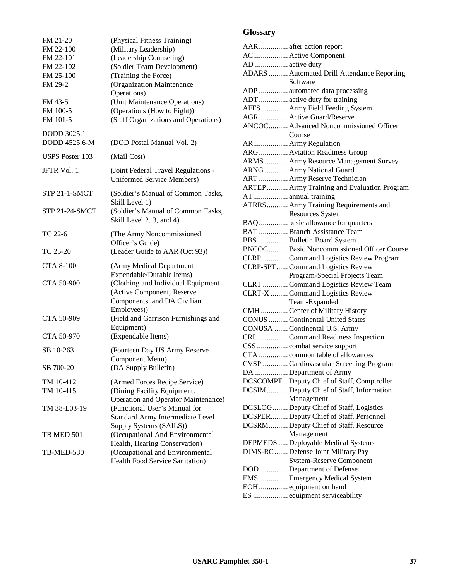| (Physical Fitness Training)<br>(Military Leadership)<br>(Leadership Counseling)<br>(Soldier Team Development)<br>(Training the Force)<br>(Organization Maintenance<br>Operations)<br>(Unit Maintenance Operations)<br>(Operations (How to Fight))<br>(Staff Organizations and Operations) |
|-------------------------------------------------------------------------------------------------------------------------------------------------------------------------------------------------------------------------------------------------------------------------------------------|
| (DOD Postal Manual Vol. 2)                                                                                                                                                                                                                                                                |
| (Mail Cost)                                                                                                                                                                                                                                                                               |
| (Joint Federal Travel Regulations -<br><b>Uniformed Service Members)</b>                                                                                                                                                                                                                  |
| (Soldier's Manual of Common Tasks,<br>Skill Level 1)                                                                                                                                                                                                                                      |
| (Soldier's Manual of Common Tasks,<br>Skill Level 2, 3, and 4)                                                                                                                                                                                                                            |
| (The Army Noncommissioned<br>Officer's Guide)                                                                                                                                                                                                                                             |
| (Leader Guide to AAR (Oct 93))                                                                                                                                                                                                                                                            |
| (Army Medical Department<br>Expendable/Durable Items)<br>(Clothing and Individual Equipment                                                                                                                                                                                               |
| (Active Component, Reserve<br>Components, and DA Civilian<br>Employees))<br>(Field and Garrison Furnishings and<br>Equipment)<br>(Expendable Items)                                                                                                                                       |
| (Fourteen Day US Army Reserve                                                                                                                                                                                                                                                             |
| Component Menu)<br>(DA Supply Bulletin)                                                                                                                                                                                                                                                   |
| (Armed Forces Recipe Service)                                                                                                                                                                                                                                                             |
| (Dining Facility Equipment:<br><b>Operation and Operator Maintenance)</b>                                                                                                                                                                                                                 |
| (Functional User's Manual for<br>Standard Army Intermediate Level                                                                                                                                                                                                                         |
| Supply Systems (SAILS))<br>(Occupational And Environmental<br>Health, Hearing Conservation)                                                                                                                                                                                               |
| (Occupational and Environmental<br>Health Food Service Sanitation)                                                                                                                                                                                                                        |
|                                                                                                                                                                                                                                                                                           |

# **Glossary**

|                 | AAR  after action report                     |
|-----------------|----------------------------------------------|
|                 | AC Active Component                          |
| AD  active duty |                                              |
|                 | ADARS  Automated Drill Attendance Reporting  |
|                 | Software                                     |
|                 | ADP  automated data processing               |
|                 | ADT  active duty for training                |
|                 | AFFS Army Field Feeding System               |
|                 | AGR  Active Guard/Reserve                    |
|                 | ANCOC Advanced Noncommissioned Officer       |
|                 | Course                                       |
|                 | AR Army Regulation                           |
|                 | ARG Aviation Readiness Group                 |
|                 | ARMS  Army Resource Management Survey        |
|                 | ARNG  Army National Guard                    |
|                 | ART  Army Reserve Technician                 |
|                 |                                              |
|                 | ARTEP Army Training and Evaluation Program   |
|                 | AT annual training                           |
|                 | ATRRS  Army Training Requirements and        |
|                 | <b>Resources System</b>                      |
|                 | BAQ  basic allowance for quarters            |
|                 | BAT  Branch Assistance Team                  |
|                 | BBS  Bulletin Board System                   |
|                 | BNCOC  Basic Noncommissioned Officer Course  |
|                 | CLRP Command Logistics Review Program        |
|                 | CLRP-SPT Command Logistics Review            |
|                 | Program-Special Projects Team                |
|                 | CLRT  Command Logistics Review Team          |
|                 | CLRT-X  Command Logistics Review             |
|                 | Team-Expanded                                |
|                 | CMH  Center of Military History              |
|                 | <b>CONUS</b> Continental United States       |
|                 |                                              |
|                 | CONUSA  Continental U.S. Army                |
|                 | CRICommand Readiness Inspection              |
|                 | CSS  combat service support                  |
|                 | CTA  common table of allowances              |
|                 | CVSP  Cardiovascular Screening Program       |
|                 | DA  Department of Army                       |
|                 | DCSCOMPT  Deputy Chief of Staff, Comptroller |
|                 | DCSIMDeputy Chief of Staff, Information      |
|                 | Management                                   |
|                 | DCSLOG Deputy Chief of Staff, Logistics      |
|                 | DCSPER Deputy Chief of Staff, Personnel      |
|                 | DCSRMDeputy Chief of Staff, Resource         |
|                 | Management                                   |
|                 | DEPMEDS  Deployable Medical Systems          |
|                 | DJMS-RC  Defense Joint Military Pay          |
|                 | <b>System-Reserve Component</b>              |
|                 |                                              |
|                 | DOD Department of Defense                    |
|                 | EMS  Emergency Medical System                |
|                 | EOH  equipment on hand                       |
|                 | ES  equipment serviceability                 |